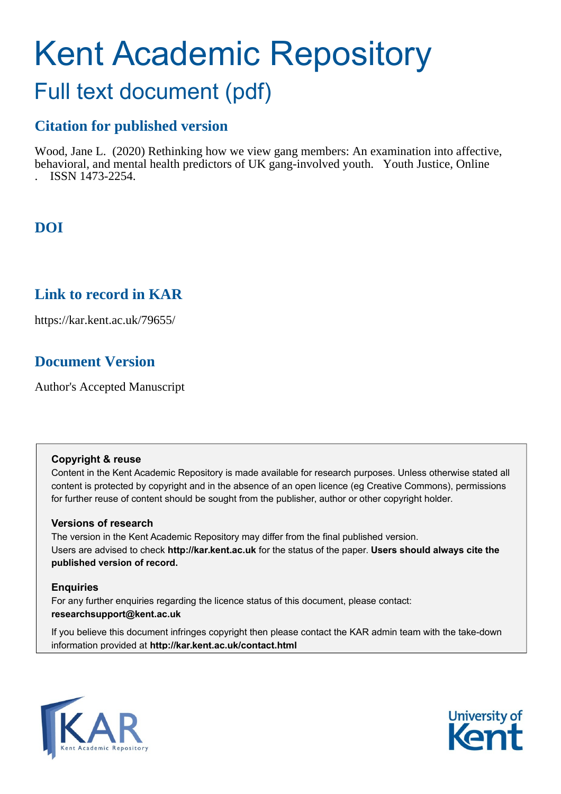# Kent Academic Repository

## Full text document (pdf)

## **Citation for published version**

Wood, Jane L. (2020) Rethinking how we view gang members: An examination into affective, behavioral, and mental health predictors of UK gang-involved youth. Youth Justice, Online . ISSN 1473-2254.

## **DOI**

## **Link to record in KAR**

https://kar.kent.ac.uk/79655/

## **Document Version**

Author's Accepted Manuscript

#### **Copyright & reuse**

Content in the Kent Academic Repository is made available for research purposes. Unless otherwise stated all content is protected by copyright and in the absence of an open licence (eg Creative Commons), permissions for further reuse of content should be sought from the publisher, author or other copyright holder.

#### **Versions of research**

The version in the Kent Academic Repository may differ from the final published version. Users are advised to check **http://kar.kent.ac.uk** for the status of the paper. **Users should always cite the published version of record.**

#### **Enquiries**

For any further enquiries regarding the licence status of this document, please contact: **researchsupport@kent.ac.uk**

If you believe this document infringes copyright then please contact the KAR admin team with the take-down information provided at **http://kar.kent.ac.uk/contact.html**



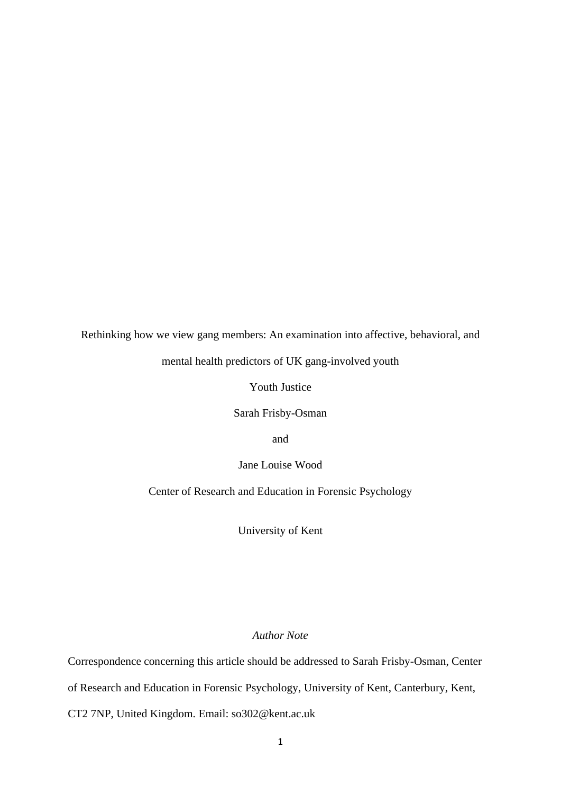Rethinking how we view gang members: An examination into affective, behavioral, and

mental health predictors of UK gang-involved youth

Youth Justice

Sarah Frisby-Osman

and

Jane Louise Wood

Center of Research and Education in Forensic Psychology

University of Kent

#### *Author Note*

Correspondence concerning this article should be addressed to Sarah Frisby-Osman, Center

of Research and Education in Forensic Psychology, University of Kent, Canterbury, Kent,

CT2 7NP, United Kingdom. Email: so302@kent.ac.uk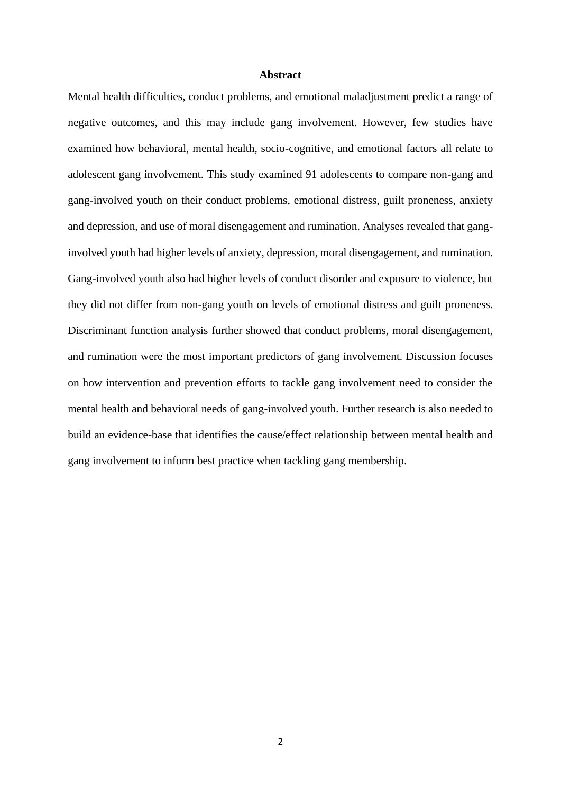#### **Abstract**

Mental health difficulties, conduct problems, and emotional maladjustment predict a range of negative outcomes, and this may include gang involvement. However, few studies have examined how behavioral, mental health, socio-cognitive, and emotional factors all relate to adolescent gang involvement. This study examined 91 adolescents to compare non-gang and gang-involved youth on their conduct problems, emotional distress, guilt proneness, anxiety and depression, and use of moral disengagement and rumination. Analyses revealed that ganginvolved youth had higher levels of anxiety, depression, moral disengagement, and rumination. Gang-involved youth also had higher levels of conduct disorder and exposure to violence, but they did not differ from non-gang youth on levels of emotional distress and guilt proneness. Discriminant function analysis further showed that conduct problems, moral disengagement, and rumination were the most important predictors of gang involvement. Discussion focuses on how intervention and prevention efforts to tackle gang involvement need to consider the mental health and behavioral needs of gang-involved youth. Further research is also needed to build an evidence-base that identifies the cause/effect relationship between mental health and gang involvement to inform best practice when tackling gang membership.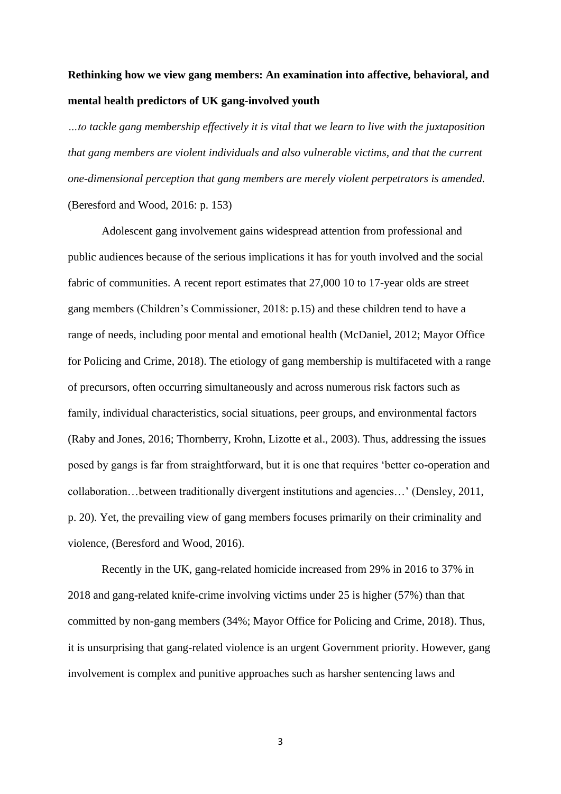## **Rethinking how we view gang members: An examination into affective, behavioral, and mental health predictors of UK gang-involved youth**

*…to tackle gang membership effectively it is vital that we learn to live with the juxtaposition that gang members are violent individuals and also vulnerable victims, and that the current one-dimensional perception that gang members are merely violent perpetrators is amended.*  (Beresford and Wood, 2016: p. 153)

Adolescent gang involvement gains widespread attention from professional and public audiences because of the serious implications it has for youth involved and the social fabric of communities. A recent report estimates that 27,000 10 to 17-year olds are street gang members (Children's Commissioner, 2018: p.15) and these children tend to have a range of needs, including poor mental and emotional health (McDaniel, 2012; Mayor Office for Policing and Crime, 2018). The etiology of gang membership is multifaceted with a range of precursors, often occurring simultaneously and across numerous risk factors such as family, individual characteristics, social situations, peer groups, and environmental factors (Raby and Jones, 2016; Thornberry, Krohn, Lizotte et al., 2003). Thus, addressing the issues posed by gangs is far from straightforward, but it is one that requires 'better co-operation and collaboration…between traditionally divergent institutions and agencies…' (Densley, 2011, p. 20). Yet, the prevailing view of gang members focuses primarily on their criminality and violence, (Beresford and Wood, 2016).

Recently in the UK, gang-related homicide increased from 29% in 2016 to 37% in 2018 and gang-related knife-crime involving victims under 25 is higher (57%) than that committed by non-gang members (34%; Mayor Office for Policing and Crime, 2018). Thus, it is unsurprising that gang-related violence is an urgent Government priority. However, gang involvement is complex and punitive approaches such as harsher sentencing laws and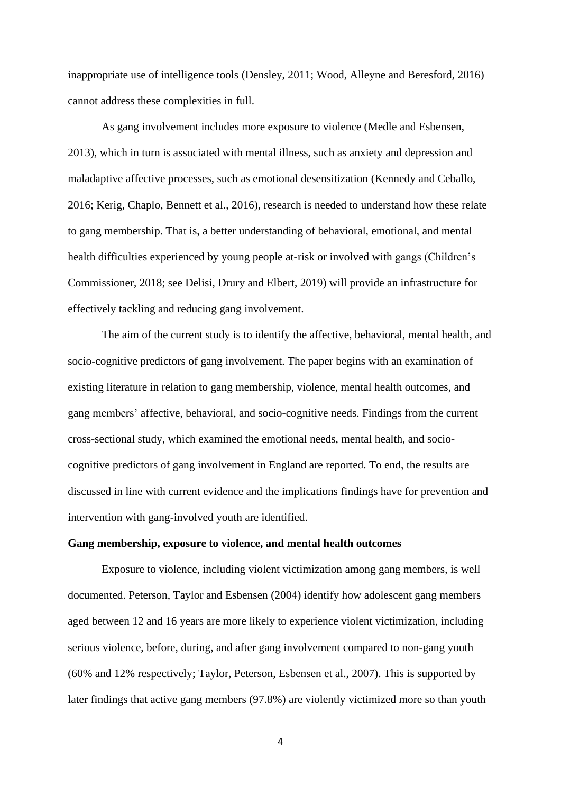inappropriate use of intelligence tools (Densley, 2011; Wood, Alleyne and Beresford, 2016) cannot address these complexities in full.

As gang involvement includes more exposure to violence (Medle and Esbensen, 2013), which in turn is associated with mental illness, such as anxiety and depression and maladaptive affective processes, such as emotional desensitization (Kennedy and Ceballo, 2016; Kerig, Chaplo, Bennett et al., 2016), research is needed to understand how these relate to gang membership. That is, a better understanding of behavioral, emotional, and mental health difficulties experienced by young people at-risk or involved with gangs (Children's Commissioner, 2018; see Delisi, Drury and Elbert, 2019) will provide an infrastructure for effectively tackling and reducing gang involvement.

The aim of the current study is to identify the affective, behavioral, mental health, and socio-cognitive predictors of gang involvement. The paper begins with an examination of existing literature in relation to gang membership, violence, mental health outcomes, and gang members' affective, behavioral, and socio-cognitive needs. Findings from the current cross-sectional study, which examined the emotional needs, mental health, and sociocognitive predictors of gang involvement in England are reported. To end, the results are discussed in line with current evidence and the implications findings have for prevention and intervention with gang-involved youth are identified.

#### **Gang membership, exposure to violence, and mental health outcomes**

Exposure to violence, including violent victimization among gang members, is well documented. Peterson, Taylor and Esbensen (2004) identify how adolescent gang members aged between 12 and 16 years are more likely to experience violent victimization, including serious violence, before, during, and after gang involvement compared to non-gang youth (60% and 12% respectively; Taylor, Peterson, Esbensen et al., 2007). This is supported by later findings that active gang members (97.8%) are violently victimized more so than youth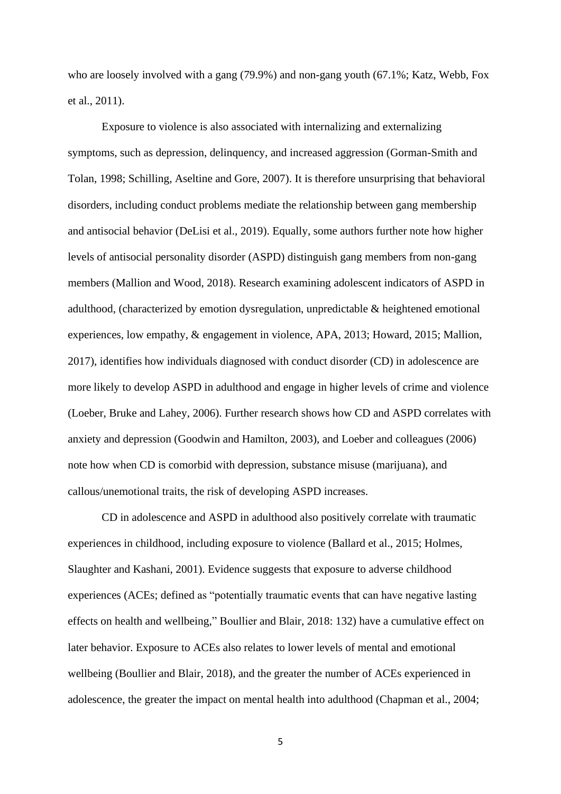who are loosely involved with a gang (79.9%) and non-gang youth (67.1%; Katz, Webb, Fox et al., 2011).

Exposure to violence is also associated with internalizing and externalizing symptoms, such as depression, delinquency, and increased aggression (Gorman-Smith and Tolan, 1998; Schilling, Aseltine and Gore, 2007). It is therefore unsurprising that behavioral disorders, including conduct problems mediate the relationship between gang membership and antisocial behavior (DeLisi et al., 2019). Equally, some authors further note how higher levels of antisocial personality disorder (ASPD) distinguish gang members from non-gang members (Mallion and Wood, 2018). Research examining adolescent indicators of ASPD in adulthood, (characterized by emotion dysregulation, unpredictable & heightened emotional experiences, low empathy, & engagement in violence, APA, 2013; Howard, 2015; Mallion, 2017), identifies how individuals diagnosed with conduct disorder (CD) in adolescence are more likely to develop ASPD in adulthood and engage in higher levels of crime and violence (Loeber, Bruke and Lahey, 2006). Further research shows how CD and ASPD correlates with anxiety and depression (Goodwin and Hamilton, 2003), and Loeber and colleagues (2006) note how when CD is comorbid with depression, substance misuse (marijuana), and callous/unemotional traits, the risk of developing ASPD increases.

CD in adolescence and ASPD in adulthood also positively correlate with traumatic experiences in childhood, including exposure to violence (Ballard et al., 2015; Holmes, Slaughter and Kashani, 2001). Evidence suggests that exposure to adverse childhood experiences (ACEs; defined as "potentially traumatic events that can have negative lasting effects on health and wellbeing," Boullier and Blair, 2018: 132) have a cumulative effect on later behavior. Exposure to ACEs also relates to lower levels of mental and emotional wellbeing (Boullier and Blair, 2018), and the greater the number of ACEs experienced in adolescence, the greater the impact on mental health into adulthood (Chapman et al., 2004;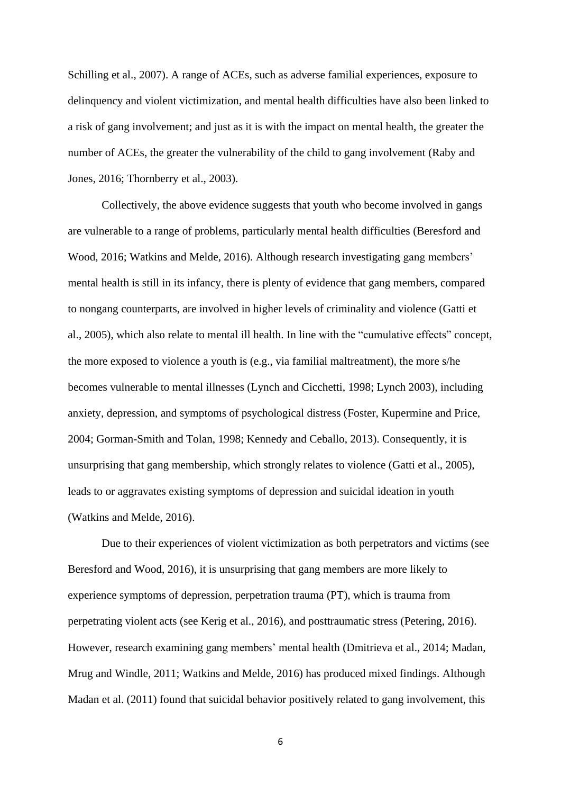Schilling et al., 2007). A range of ACEs, such as adverse familial experiences, exposure to delinquency and violent victimization, and mental health difficulties have also been linked to a risk of gang involvement; and just as it is with the impact on mental health, the greater the number of ACEs, the greater the vulnerability of the child to gang involvement (Raby and Jones, 2016; Thornberry et al., 2003).

Collectively, the above evidence suggests that youth who become involved in gangs are vulnerable to a range of problems, particularly mental health difficulties (Beresford and Wood, 2016; Watkins and Melde, 2016). Although research investigating gang members' mental health is still in its infancy, there is plenty of evidence that gang members, compared to nongang counterparts, are involved in higher levels of criminality and violence (Gatti et al., 2005), which also relate to mental ill health. In line with the "cumulative effects" concept, the more exposed to violence a youth is (e.g., via familial maltreatment), the more s/he becomes vulnerable to mental illnesses (Lynch and Cicchetti, 1998; Lynch 2003), including anxiety, depression, and symptoms of psychological distress (Foster, Kupermine and Price, 2004; Gorman-Smith and Tolan, 1998; Kennedy and Ceballo, 2013). Consequently, it is unsurprising that gang membership, which strongly relates to violence (Gatti et al., 2005), leads to or aggravates existing symptoms of depression and suicidal ideation in youth (Watkins and Melde, 2016).

Due to their experiences of violent victimization as both perpetrators and victims (see Beresford and Wood, 2016), it is unsurprising that gang members are more likely to experience symptoms of depression, perpetration trauma (PT), which is trauma from perpetrating violent acts (see Kerig et al., 2016), and posttraumatic stress (Petering, 2016). However, research examining gang members' mental health (Dmitrieva et al., 2014; Madan, Mrug and Windle, 2011; Watkins and Melde, 2016) has produced mixed findings. Although Madan et al. (2011) found that suicidal behavior positively related to gang involvement, this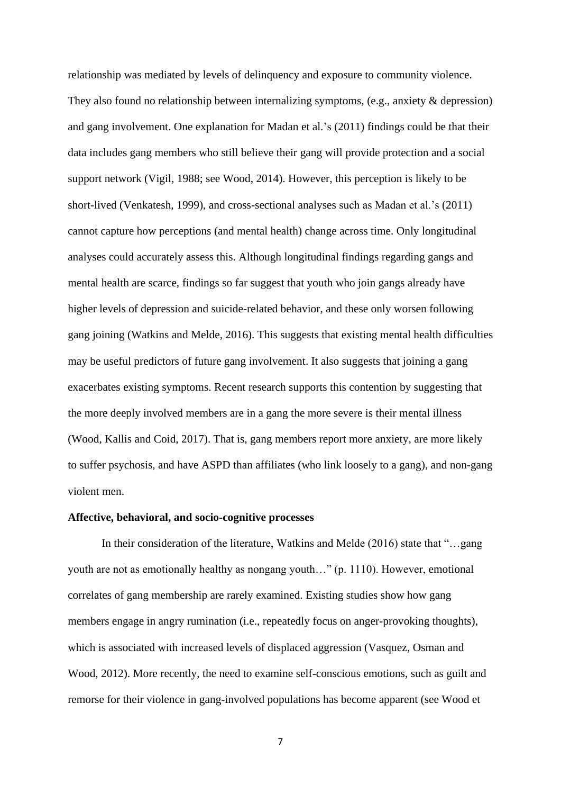relationship was mediated by levels of delinquency and exposure to community violence. They also found no relationship between internalizing symptoms, (e.g., anxiety & depression) and gang involvement. One explanation for Madan et al.'s (2011) findings could be that their data includes gang members who still believe their gang will provide protection and a social support network (Vigil, 1988; see Wood, 2014). However, this perception is likely to be short-lived (Venkatesh, 1999), and cross-sectional analyses such as Madan et al.'s (2011) cannot capture how perceptions (and mental health) change across time. Only longitudinal analyses could accurately assess this. Although longitudinal findings regarding gangs and mental health are scarce, findings so far suggest that youth who join gangs already have higher levels of depression and suicide-related behavior, and these only worsen following gang joining (Watkins and Melde, 2016). This suggests that existing mental health difficulties may be useful predictors of future gang involvement. It also suggests that joining a gang exacerbates existing symptoms. Recent research supports this contention by suggesting that the more deeply involved members are in a gang the more severe is their mental illness (Wood, Kallis and Coid, 2017). That is, gang members report more anxiety, are more likely to suffer psychosis, and have ASPD than affiliates (who link loosely to a gang), and non-gang violent men.

#### **Affective, behavioral, and socio-cognitive processes**

In their consideration of the literature, Watkins and Melde (2016) state that "…gang youth are not as emotionally healthy as nongang youth…" (p. 1110). However, emotional correlates of gang membership are rarely examined. Existing studies show how gang members engage in angry rumination (i.e., repeatedly focus on anger-provoking thoughts), which is associated with increased levels of displaced aggression (Vasquez, Osman and Wood, 2012). More recently, the need to examine self-conscious emotions, such as guilt and remorse for their violence in gang-involved populations has become apparent (see Wood et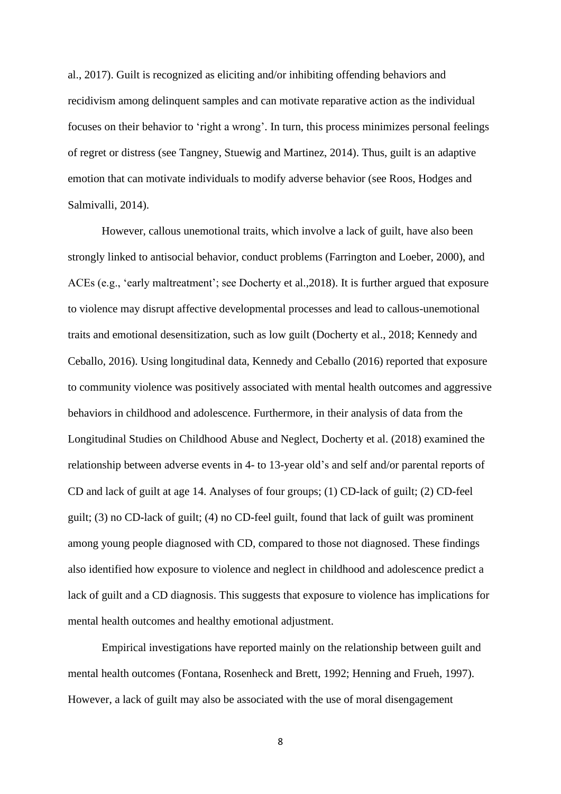al., 2017). Guilt is recognized as eliciting and/or inhibiting offending behaviors and recidivism among delinquent samples and can motivate reparative action as the individual focuses on their behavior to 'right a wrong'. In turn, this process minimizes personal feelings of regret or distress (see Tangney, Stuewig and Martinez, 2014). Thus, guilt is an adaptive emotion that can motivate individuals to modify adverse behavior (see Roos, Hodges and Salmivalli, 2014).

However, callous unemotional traits, which involve a lack of guilt, have also been strongly linked to antisocial behavior, conduct problems (Farrington and Loeber, 2000), and ACEs (e.g., 'early maltreatment'; see Docherty et al.,2018). It is further argued that exposure to violence may disrupt affective developmental processes and lead to callous-unemotional traits and emotional desensitization, such as low guilt (Docherty et al., 2018; Kennedy and Ceballo, 2016). Using longitudinal data, Kennedy and Ceballo (2016) reported that exposure to community violence was positively associated with mental health outcomes and aggressive behaviors in childhood and adolescence. Furthermore, in their analysis of data from the Longitudinal Studies on Childhood Abuse and Neglect, Docherty et al. (2018) examined the relationship between adverse events in 4- to 13-year old's and self and/or parental reports of CD and lack of guilt at age 14. Analyses of four groups; (1) CD-lack of guilt; (2) CD-feel guilt; (3) no CD-lack of guilt; (4) no CD-feel guilt, found that lack of guilt was prominent among young people diagnosed with CD, compared to those not diagnosed. These findings also identified how exposure to violence and neglect in childhood and adolescence predict a lack of guilt and a CD diagnosis. This suggests that exposure to violence has implications for mental health outcomes and healthy emotional adjustment.

Empirical investigations have reported mainly on the relationship between guilt and mental health outcomes (Fontana, Rosenheck and Brett, 1992; Henning and Frueh, 1997). However, a lack of guilt may also be associated with the use of moral disengagement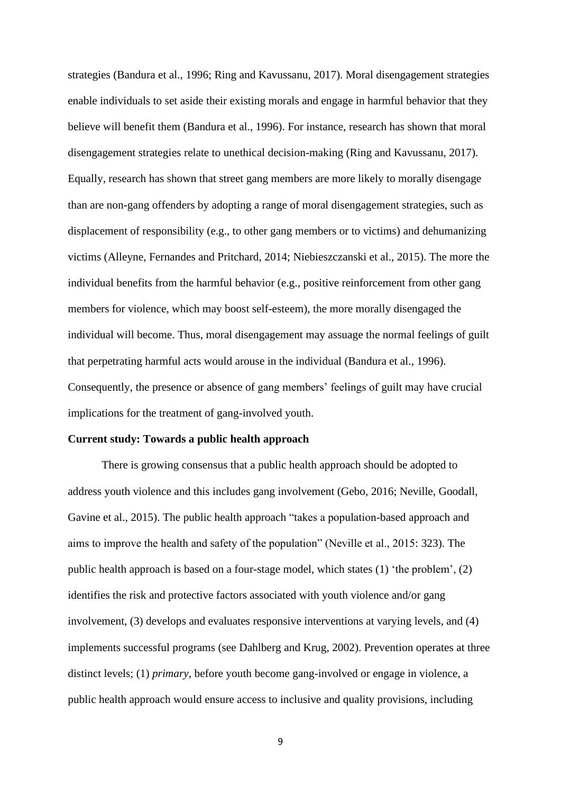strategies (Bandura et al., 1996; Ring and Kavussanu, 2017). Moral disengagement strategies enable individuals to set aside their existing morals and engage in harmful behavior that they believe will benefit them (Bandura et al., 1996). For instance, research has shown that moral disengagement strategies relate to unethical decision-making (Ring and Kavussanu, 2017). Equally, research has shown that street gang members are more likely to morally disengage than are non-gang offenders by adopting a range of moral disengagement strategies, such as displacement of responsibility (e.g., to other gang members or to victims) and dehumanizing victims (Alleyne, Fernandes and Pritchard, 2014; Niebieszczanski et al., 2015). The more the individual benefits from the harmful behavior (e.g., positive reinforcement from other gang members for violence, which may boost self-esteem), the more morally disengaged the individual will become. Thus, moral disengagement may assuage the normal feelings of guilt that perpetrating harmful acts would arouse in the individual (Bandura et al., 1996). Consequently, the presence or absence of gang members' feelings of guilt may have crucial implications for the treatment of gang-involved youth.

#### **Current study: Towards a public health approach**

There is growing consensus that a public health approach should be adopted to address youth violence and this includes gang involvement (Gebo, 2016; Neville, Goodall, Gavine et al., 2015). The public health approach "takes a population-based approach and aims to improve the health and safety of the population" (Neville et al., 2015: 323). The public health approach is based on a four-stage model, which states (1) 'the problem', (2) identifies the risk and protective factors associated with youth violence and/or gang involvement, (3) develops and evaluates responsive interventions at varying levels, and (4) implements successful programs (see Dahlberg and Krug, 2002). Prevention operates at three distinct levels; (1) *primary*, before youth become gang-involved or engage in violence, a public health approach would ensure access to inclusive and quality provisions, including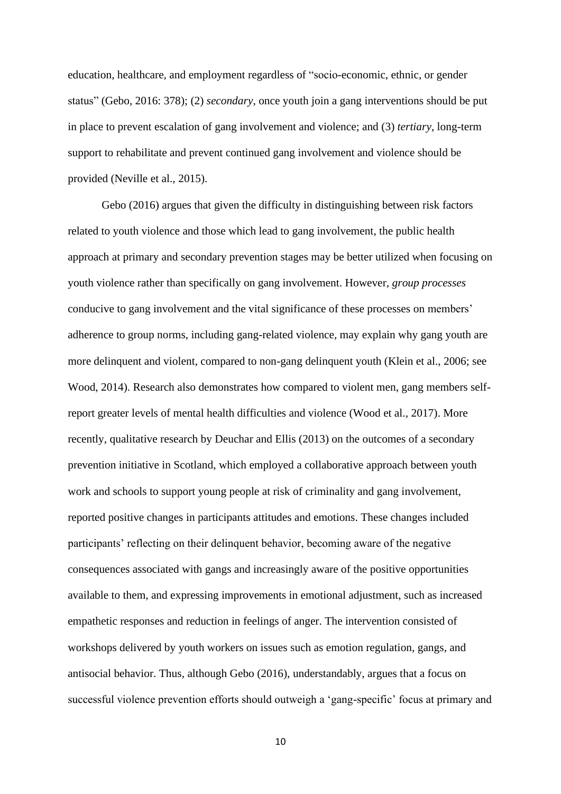education, healthcare, and employment regardless of "socio-economic, ethnic, or gender status" (Gebo, 2016: 378); (2) *secondary*, once youth join a gang interventions should be put in place to prevent escalation of gang involvement and violence; and (3) *tertiary*, long-term support to rehabilitate and prevent continued gang involvement and violence should be provided (Neville et al., 2015).

Gebo (2016) argues that given the difficulty in distinguishing between risk factors related to youth violence and those which lead to gang involvement, the public health approach at primary and secondary prevention stages may be better utilized when focusing on youth violence rather than specifically on gang involvement. However, *group processes* conducive to gang involvement and the vital significance of these processes on members' adherence to group norms, including gang-related violence, may explain why gang youth are more delinquent and violent, compared to non-gang delinquent youth (Klein et al., 2006; see Wood, 2014). Research also demonstrates how compared to violent men, gang members selfreport greater levels of mental health difficulties and violence (Wood et al., 2017). More recently, qualitative research by Deuchar and Ellis (2013) on the outcomes of a secondary prevention initiative in Scotland, which employed a collaborative approach between youth work and schools to support young people at risk of criminality and gang involvement, reported positive changes in participants attitudes and emotions. These changes included participants' reflecting on their delinquent behavior, becoming aware of the negative consequences associated with gangs and increasingly aware of the positive opportunities available to them, and expressing improvements in emotional adjustment, such as increased empathetic responses and reduction in feelings of anger. The intervention consisted of workshops delivered by youth workers on issues such as emotion regulation, gangs, and antisocial behavior. Thus, although Gebo (2016), understandably, argues that a focus on successful violence prevention efforts should outweigh a 'gang-specific' focus at primary and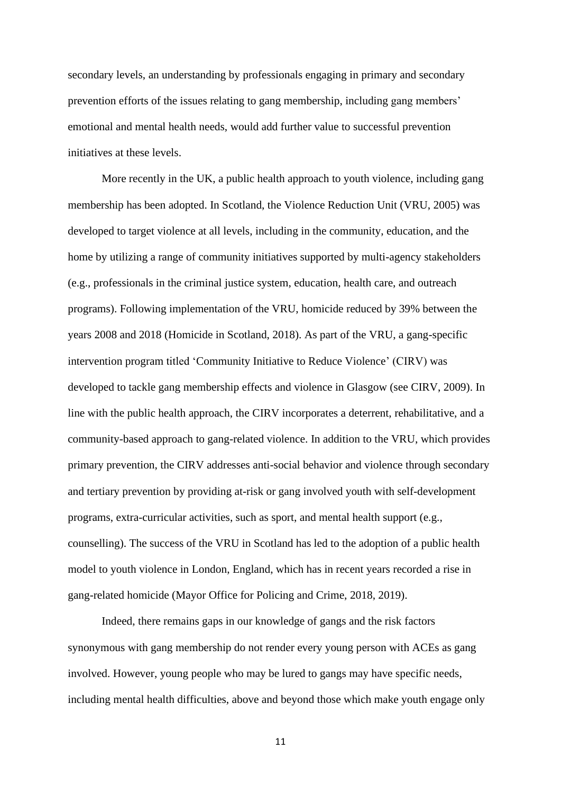secondary levels, an understanding by professionals engaging in primary and secondary prevention efforts of the issues relating to gang membership, including gang members' emotional and mental health needs, would add further value to successful prevention initiatives at these levels.

More recently in the UK, a public health approach to youth violence, including gang membership has been adopted. In Scotland, the Violence Reduction Unit (VRU, 2005) was developed to target violence at all levels, including in the community, education, and the home by utilizing a range of community initiatives supported by multi-agency stakeholders (e.g., professionals in the criminal justice system, education, health care, and outreach programs). Following implementation of the VRU, homicide reduced by 39% between the years 2008 and 2018 (Homicide in Scotland, 2018). As part of the VRU, a gang-specific intervention program titled 'Community Initiative to Reduce Violence' (CIRV) was developed to tackle gang membership effects and violence in Glasgow (see CIRV, 2009). In line with the public health approach, the CIRV incorporates a deterrent, rehabilitative, and a community-based approach to gang-related violence. In addition to the VRU, which provides primary prevention, the CIRV addresses anti-social behavior and violence through secondary and tertiary prevention by providing at-risk or gang involved youth with self-development programs, extra-curricular activities, such as sport, and mental health support (e.g., counselling). The success of the VRU in Scotland has led to the adoption of a public health model to youth violence in London, England, which has in recent years recorded a rise in gang-related homicide (Mayor Office for Policing and Crime, 2018, 2019).

Indeed, there remains gaps in our knowledge of gangs and the risk factors synonymous with gang membership do not render every young person with ACEs as gang involved. However, young people who may be lured to gangs may have specific needs, including mental health difficulties, above and beyond those which make youth engage only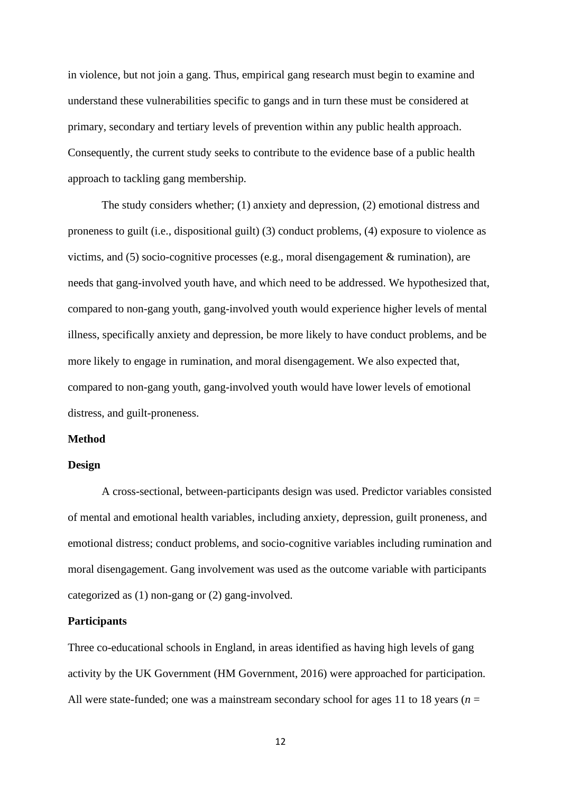in violence, but not join a gang. Thus, empirical gang research must begin to examine and understand these vulnerabilities specific to gangs and in turn these must be considered at primary, secondary and tertiary levels of prevention within any public health approach. Consequently, the current study seeks to contribute to the evidence base of a public health approach to tackling gang membership.

The study considers whether; (1) anxiety and depression, (2) emotional distress and proneness to guilt (i.e., dispositional guilt) (3) conduct problems, (4) exposure to violence as victims, and (5) socio-cognitive processes (e.g., moral disengagement & rumination), are needs that gang-involved youth have, and which need to be addressed. We hypothesized that, compared to non-gang youth, gang-involved youth would experience higher levels of mental illness, specifically anxiety and depression, be more likely to have conduct problems, and be more likely to engage in rumination, and moral disengagement. We also expected that, compared to non-gang youth, gang-involved youth would have lower levels of emotional distress, and guilt-proneness.

#### **Method**

#### **Design**

A cross-sectional, between-participants design was used. Predictor variables consisted of mental and emotional health variables, including anxiety, depression, guilt proneness, and emotional distress; conduct problems, and socio-cognitive variables including rumination and moral disengagement. Gang involvement was used as the outcome variable with participants categorized as (1) non-gang or (2) gang-involved.

#### **Participants**

Three co-educational schools in England, in areas identified as having high levels of gang activity by the UK Government (HM Government, 2016) were approached for participation. All were state-funded; one was a mainstream secondary school for ages 11 to 18 years ( $n =$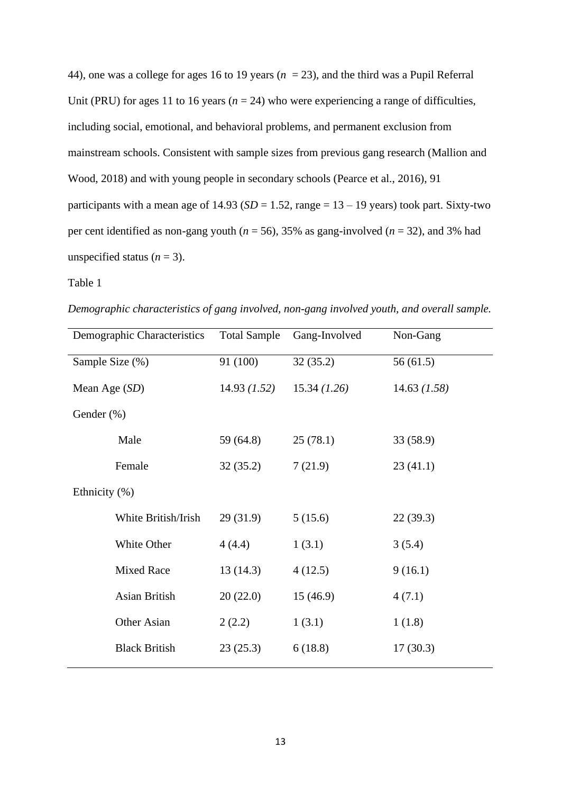44), one was a college for ages 16 to 19 years (*n* = 23), and the third was a Pupil Referral Unit (PRU) for ages 11 to 16 years ( $n = 24$ ) who were experiencing a range of difficulties, including social, emotional, and behavioral problems, and permanent exclusion from mainstream schools. Consistent with sample sizes from previous gang research (Mallion and Wood, 2018) and with young people in secondary schools (Pearce et al., 2016), 91 participants with a mean age of  $14.93$  (*SD* = 1.52, range =  $13 - 19$  years) took part. Sixty-two per cent identified as non-gang youth ( $n = 56$ ), 35% as gang-involved ( $n = 32$ ), and 3% had unspecified status  $(n = 3)$ .

#### Table 1

*Demographic characteristics of gang involved, non-gang involved youth, and overall sample.* 

| Demographic Characteristics | <b>Total Sample</b> | Gang-Involved | Non-Gang     |
|-----------------------------|---------------------|---------------|--------------|
| Sample Size (%)             | 91 (100)            | 32(35.2)      | 56(61.5)     |
| Mean Age (SD)               | 14.93 (1.52)        | 15.34 (1.26)  | 14.63 (1.58) |
| Gender (%)                  |                     |               |              |
| Male                        | 59 (64.8)           | 25(78.1)      | 33 (58.9)    |
| Female                      | 32(35.2)            | 7(21.9)       | 23(41.1)     |
| Ethnicity (%)               |                     |               |              |
| White British/Irish         | 29(31.9)            | 5(15.6)       | 22(39.3)     |
| White Other                 | 4(4.4)              | 1(3.1)        | 3(5.4)       |
| <b>Mixed Race</b>           | 13(14.3)            | 4(12.5)       | 9(16.1)      |
| Asian British               | 20(22.0)            | 15(46.9)      | 4(7.1)       |
| Other Asian                 | 2(2.2)              | 1(3.1)        | 1(1.8)       |
| <b>Black British</b>        | 23(25.3)            | 6(18.8)       | 17(30.3)     |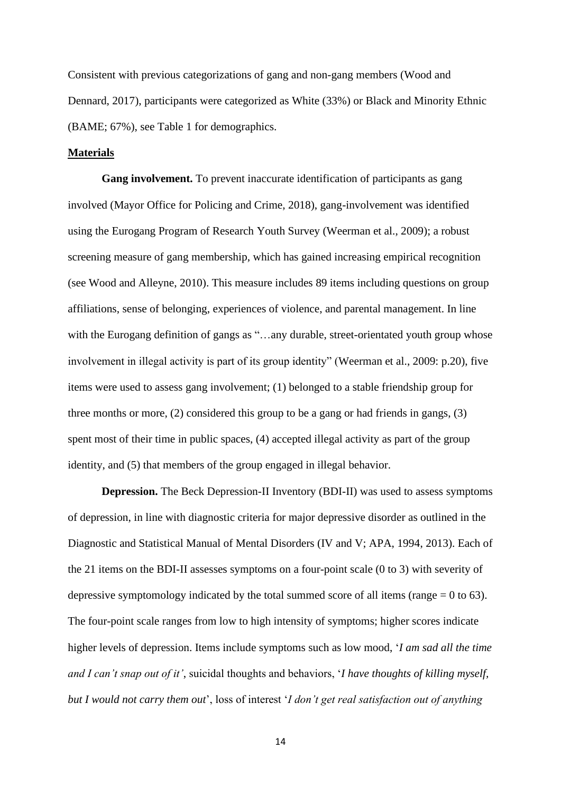Consistent with previous categorizations of gang and non-gang members (Wood and Dennard, 2017), participants were categorized as White (33%) or Black and Minority Ethnic (BAME; 67%), see Table 1 for demographics.

#### **Materials**

**Gang involvement.** To prevent inaccurate identification of participants as gang involved (Mayor Office for Policing and Crime, 2018), gang-involvement was identified using the Eurogang Program of Research Youth Survey (Weerman et al., 2009); a robust screening measure of gang membership, which has gained increasing empirical recognition (see Wood and Alleyne, 2010). This measure includes 89 items including questions on group affiliations, sense of belonging, experiences of violence, and parental management. In line with the Eurogang definition of gangs as "...any durable, street-orientated youth group whose involvement in illegal activity is part of its group identity" (Weerman et al., 2009: p.20), five items were used to assess gang involvement; (1) belonged to a stable friendship group for three months or more, (2) considered this group to be a gang or had friends in gangs, (3) spent most of their time in public spaces, (4) accepted illegal activity as part of the group identity, and (5) that members of the group engaged in illegal behavior.

**Depression.** The Beck Depression-II Inventory (BDI-II) was used to assess symptoms of depression, in line with diagnostic criteria for major depressive disorder as outlined in the Diagnostic and Statistical Manual of Mental Disorders (IV and V; APA, 1994, 2013). Each of the 21 items on the BDI-II assesses symptoms on a four-point scale (0 to 3) with severity of depressive symptomology indicated by the total summed score of all items (range  $= 0$  to 63). The four-point scale ranges from low to high intensity of symptoms; higher scores indicate higher levels of depression. Items include symptoms such as low mood, '*I am sad all the time and I can't snap out of it'*, suicidal thoughts and behaviors, '*I have thoughts of killing myself, but I would not carry them out*', loss of interest '*I don't get real satisfaction out of anything*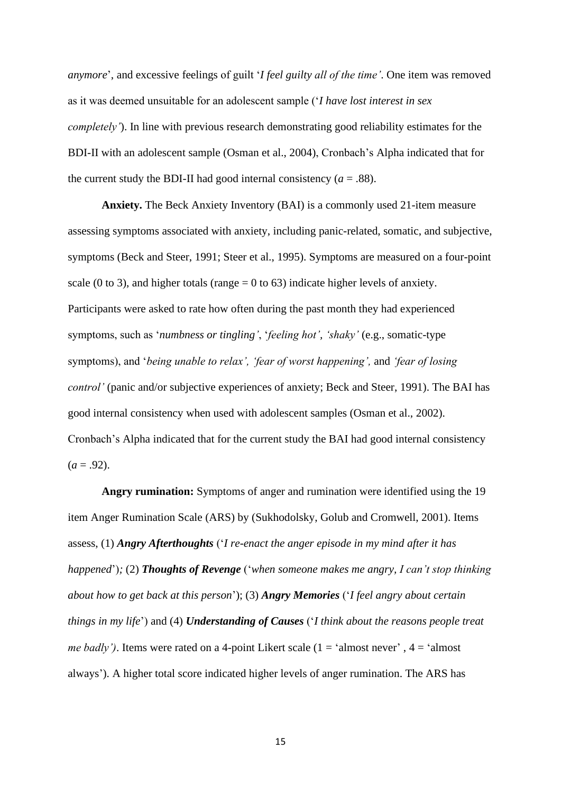*anymore*', and excessive feelings of guilt '*I feel guilty all of the time'*. One item was removed as it was deemed unsuitable for an adolescent sample ('*I have lost interest in sex completely'*). In line with previous research demonstrating good reliability estimates for the BDI-II with an adolescent sample (Osman et al., 2004), Cronbach's Alpha indicated that for the current study the BDI-II had good internal consistency  $(a = .88)$ .

**Anxiety.** The Beck Anxiety Inventory (BAI) is a commonly used 21-item measure assessing symptoms associated with anxiety, including panic-related, somatic, and subjective, symptoms (Beck and Steer, 1991; Steer et al., 1995). Symptoms are measured on a four-point scale (0 to 3), and higher totals (range  $= 0$  to 63) indicate higher levels of anxiety. Participants were asked to rate how often during the past month they had experienced symptoms, such as '*numbness or tingling'*, '*feeling hot', 'shaky'* (e.g., somatic-type symptoms), and '*being unable to relax', 'fear of worst happening',* and *'fear of losing control'* (panic and/or subjective experiences of anxiety; Beck and Steer, 1991). The BAI has good internal consistency when used with adolescent samples (Osman et al., 2002). Cronbach's Alpha indicated that for the current study the BAI had good internal consistency  $(a = .92)$ .

**Angry rumination:** Symptoms of anger and rumination were identified using the 19 item Anger Rumination Scale (ARS) by (Sukhodolsky, Golub and Cromwell, 2001). Items assess, (1) *Angry Afterthoughts* ('*I re-enact the anger episode in my mind after it has happened*')*;* (2) *Thoughts of Revenge* ('*when someone makes me angry, I can't stop thinking about how to get back at this person*'); (3) *Angry Memories* ('*I feel angry about certain things in my life*') and (4) *Understanding of Causes* ('*I think about the reasons people treat me badly'*). Items were rated on a 4-point Likert scale  $(1 - \text{'almost never'}, 4 - \text{'almost})$ always'). A higher total score indicated higher levels of anger rumination. The ARS has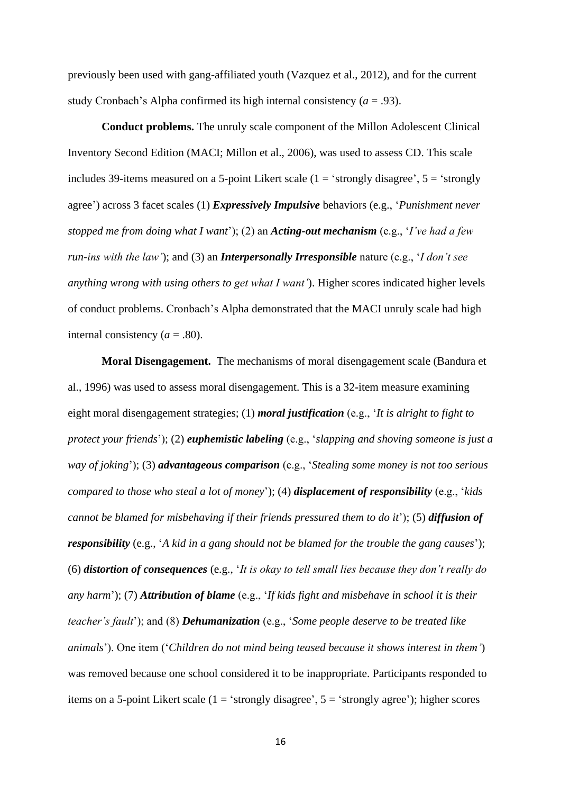previously been used with gang-affiliated youth (Vazquez et al., 2012), and for the current study Cronbach's Alpha confirmed its high internal consistency  $(a = .93)$ .

**Conduct problems.** The unruly scale component of the Millon Adolescent Clinical Inventory Second Edition (MACI; Millon et al., 2006), was used to assess CD. This scale includes 39-items measured on a 5-point Likert scale ( $1 =$  'strongly disagree',  $5 =$  'strongly agree') across 3 facet scales (1) *Expressively Impulsive* behaviors (e.g., '*Punishment never stopped me from doing what I want*'); (2) an *Acting-out mechanism* (e.g., '*I've had a few run-ins with the law'*); and (3) an *Interpersonally Irresponsible* nature (e.g., '*I don't see anything wrong with using others to get what I want'*). Higher scores indicated higher levels of conduct problems. Cronbach's Alpha demonstrated that the MACI unruly scale had high internal consistency  $(a = .80)$ .

**Moral Disengagement.** The mechanisms of moral disengagement scale (Bandura et al., 1996) was used to assess moral disengagement. This is a 32-item measure examining eight moral disengagement strategies; (1) *moral justification* (e.g., '*It is alright to fight to protect your friends*'); (2) *euphemistic labeling* (e.g., '*slapping and shoving someone is just a way of joking*'); (3) *advantageous comparison* (e.g., '*Stealing some money is not too serious compared to those who steal a lot of money*'); (4) *displacement of responsibility* (e.g., '*kids cannot be blamed for misbehaving if their friends pressured them to do it*'); (5) *diffusion of responsibility* (e.g., '*A kid in a gang should not be blamed for the trouble the gang causes*'); (6) *distortion of consequences* (e.g., '*It is okay to tell small lies because they don't really do any harm*'); (7) *Attribution of blame* (e.g., '*If kids fight and misbehave in school it is their teacher's fault*'); and (8) *Dehumanization* (e.g., '*Some people deserve to be treated like animals*'). One item ('*Children do not mind being teased because it shows interest in them'*) was removed because one school considered it to be inappropriate. Participants responded to items on a 5-point Likert scale ( $1 = 'strongly disagree', 5 = 'strongly agree')$ ; higher scores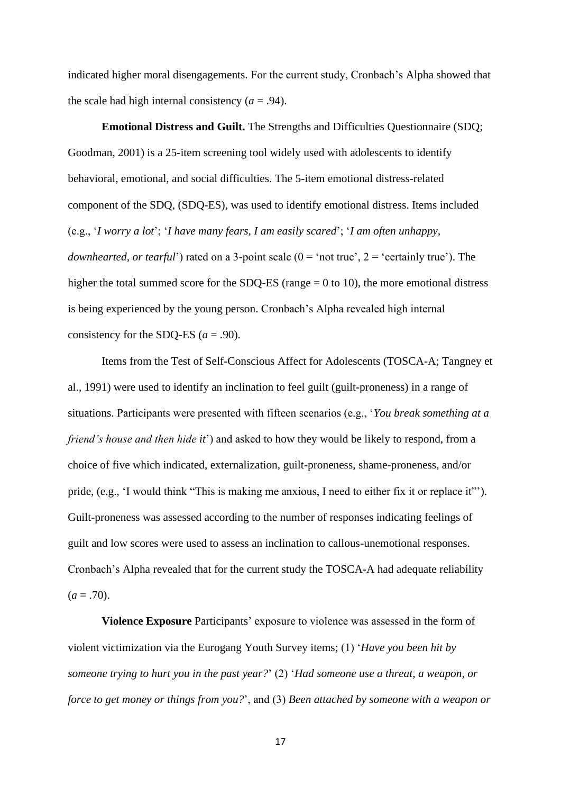indicated higher moral disengagements. For the current study, Cronbach's Alpha showed that the scale had high internal consistency  $(a = .94)$ .

**Emotional Distress and Guilt.** The Strengths and Difficulties Questionnaire (SDQ; Goodman, 2001) is a 25-item screening tool widely used with adolescents to identify behavioral, emotional, and social difficulties. The 5-item emotional distress-related component of the SDQ, (SDQ-ES), was used to identify emotional distress. Items included (e.g., '*I worry a lot*'; '*I have many fears, I am easily scared*'; '*I am often unhappy, downhearted, or tearful*') rated on a 3-point scale  $(0 = 'not true', 2 = 'certainly true')$ . The higher the total summed score for the SDQ-ES (range  $= 0$  to 10), the more emotional distress is being experienced by the young person. Cronbach's Alpha revealed high internal consistency for the SDQ-ES  $(a = .90)$ .

Items from the Test of Self-Conscious Affect for Adolescents (TOSCA-A; Tangney et al., 1991) were used to identify an inclination to feel guilt (guilt-proneness) in a range of situations. Participants were presented with fifteen scenarios (e.g., '*You break something at a friend's house and then hide it*') and asked to how they would be likely to respond, from a choice of five which indicated, externalization, guilt-proneness, shame-proneness, and/or pride, (e.g., 'I would think "This is making me anxious, I need to either fix it or replace it"'). Guilt-proneness was assessed according to the number of responses indicating feelings of guilt and low scores were used to assess an inclination to callous-unemotional responses. Cronbach's Alpha revealed that for the current study the TOSCA-A had adequate reliability  $(a = .70)$ .

**Violence Exposure** Participants' exposure to violence was assessed in the form of violent victimization via the Eurogang Youth Survey items; (1) '*Have you been hit by someone trying to hurt you in the past year?*' (2) '*Had someone use a threat, a weapon, or force to get money or things from you?*', and (3) *Been attached by someone with a weapon or*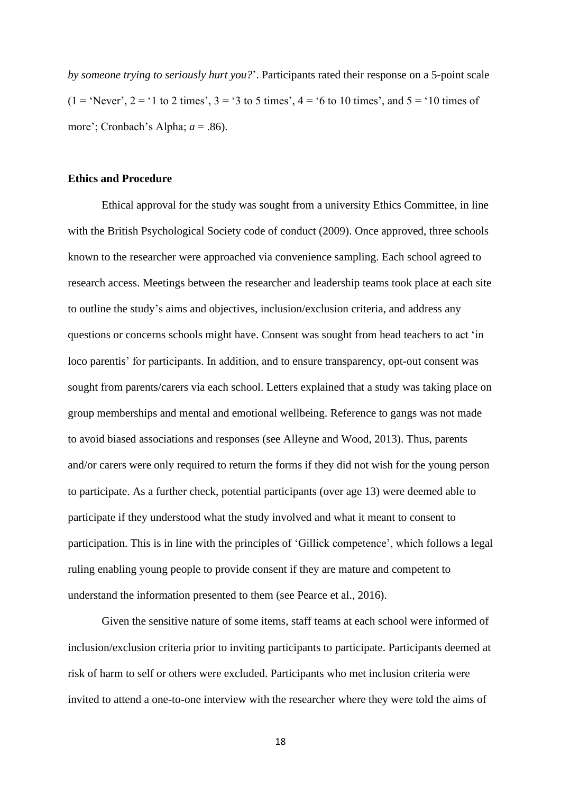*by someone trying to seriously hurt you?*'. Participants rated their response on a 5-point scale  $(1 = 'Never', 2 = '1 to 2 times', 3 = '3 to 5 times', 4 = '6 to 10 times', and 5 = '10 times of$ more'; Cronbach's Alpha; *a* = .86).

#### **Ethics and Procedure**

Ethical approval for the study was sought from a university Ethics Committee, in line with the British Psychological Society code of conduct (2009). Once approved, three schools known to the researcher were approached via convenience sampling. Each school agreed to research access. Meetings between the researcher and leadership teams took place at each site to outline the study's aims and objectives, inclusion/exclusion criteria, and address any questions or concerns schools might have. Consent was sought from head teachers to act 'in loco parentis' for participants. In addition, and to ensure transparency, opt-out consent was sought from parents/carers via each school. Letters explained that a study was taking place on group memberships and mental and emotional wellbeing. Reference to gangs was not made to avoid biased associations and responses (see Alleyne and Wood, 2013). Thus, parents and/or carers were only required to return the forms if they did not wish for the young person to participate. As a further check, potential participants (over age 13) were deemed able to participate if they understood what the study involved and what it meant to consent to participation. This is in line with the principles of 'Gillick competence', which follows a legal ruling enabling young people to provide consent if they are mature and competent to understand the information presented to them (see Pearce et al., 2016).

Given the sensitive nature of some items, staff teams at each school were informed of inclusion/exclusion criteria prior to inviting participants to participate. Participants deemed at risk of harm to self or others were excluded. Participants who met inclusion criteria were invited to attend a one-to-one interview with the researcher where they were told the aims of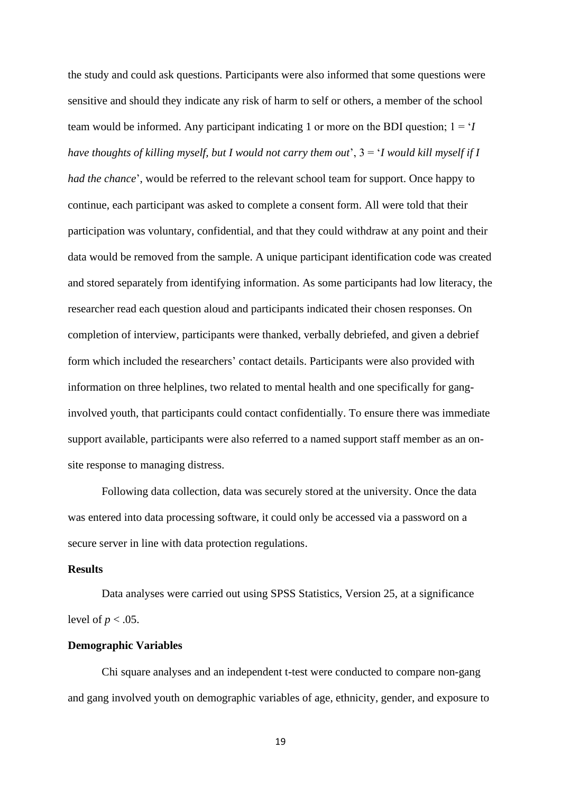the study and could ask questions. Participants were also informed that some questions were sensitive and should they indicate any risk of harm to self or others, a member of the school team would be informed. Any participant indicating 1 or more on the BDI question;  $1 = \mathbf{i}$ *have thoughts of killing myself, but I would not carry them out*', 3 = '*I would kill myself if I had the chance*', would be referred to the relevant school team for support. Once happy to continue, each participant was asked to complete a consent form. All were told that their participation was voluntary, confidential, and that they could withdraw at any point and their data would be removed from the sample. A unique participant identification code was created and stored separately from identifying information. As some participants had low literacy, the researcher read each question aloud and participants indicated their chosen responses. On completion of interview, participants were thanked, verbally debriefed, and given a debrief form which included the researchers' contact details. Participants were also provided with information on three helplines, two related to mental health and one specifically for ganginvolved youth, that participants could contact confidentially. To ensure there was immediate support available, participants were also referred to a named support staff member as an onsite response to managing distress.

Following data collection, data was securely stored at the university. Once the data was entered into data processing software, it could only be accessed via a password on a secure server in line with data protection regulations.

#### **Results**

Data analyses were carried out using SPSS Statistics, Version 25, at a significance level of  $p < .05$ .

#### **Demographic Variables**

Chi square analyses and an independent t-test were conducted to compare non-gang and gang involved youth on demographic variables of age, ethnicity, gender, and exposure to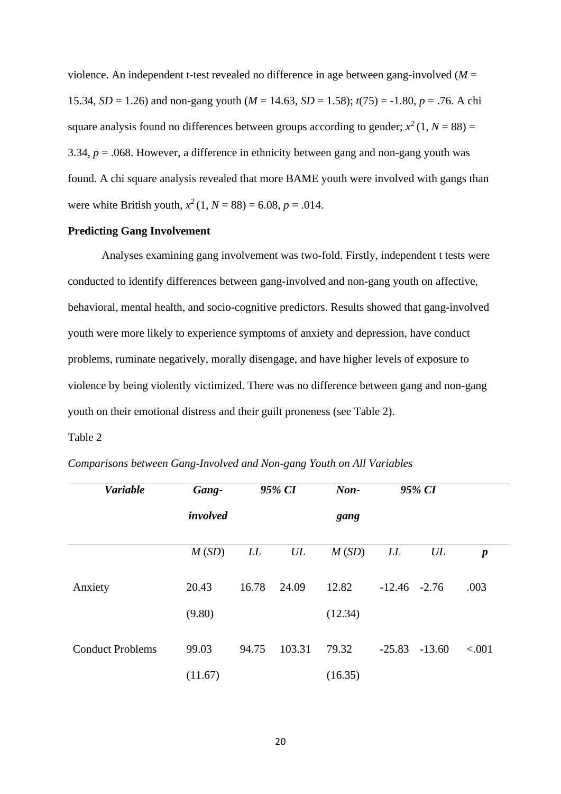violence. An independent t-test revealed no difference in age between gang-involved (*M* = 15.34, *SD* = 1.26) and non-gang youth ( $M = 14.63$ , *SD* = 1.58);  $t(75) = -1.80$ ,  $p = .76$ . A chi square analysis found no differences between groups according to gender;  $x^2(1, N = 88) =$ 3.34,  $p = 0.068$ . However, a difference in ethnicity between gang and non-gang youth was found. A chi square analysis revealed that more BAME youth were involved with gangs than were white British youth,  $x^2$  (1,  $N = 88$ ) = 6.08,  $p = .014$ .

#### **Predicting Gang Involvement**

Analyses examining gang involvement was two-fold. Firstly, independent t tests were conducted to identify differences between gang-involved and non-gang youth on affective, behavioral, mental health, and socio-cognitive predictors. Results showed that gang-involved youth were more likely to experience symptoms of anxiety and depression, have conduct problems, ruminate negatively, morally disengage, and have higher levels of exposure to violence by being violently victimized. There was no difference between gang and non-gang youth on their emotional distress and their guilt proneness (see Table 2).

#### Table 2

*Comparisons between Gang-Involved and Non-gang Youth on All Variables*

| <b>Variable</b>         | Gang-    |       | 95% CI | $\mathbf{Non}$ |                 | 95% CI   |                  |
|-------------------------|----------|-------|--------|----------------|-----------------|----------|------------------|
|                         | involved |       |        | gang           |                 |          |                  |
|                         | M(SD)    | LL    | UL     | M(SD)          | LL              | UL       | $\boldsymbol{p}$ |
| Anxiety                 | 20.43    | 16.78 | 24.09  | 12.82          | $-12.46 - 2.76$ |          | .003             |
|                         | (9.80)   |       |        | (12.34)        |                 |          |                  |
| <b>Conduct Problems</b> | 99.03    | 94.75 | 103.31 | 79.32          | $-25.83$        | $-13.60$ | < .001           |
|                         | (11.67)  |       |        | (16.35)        |                 |          |                  |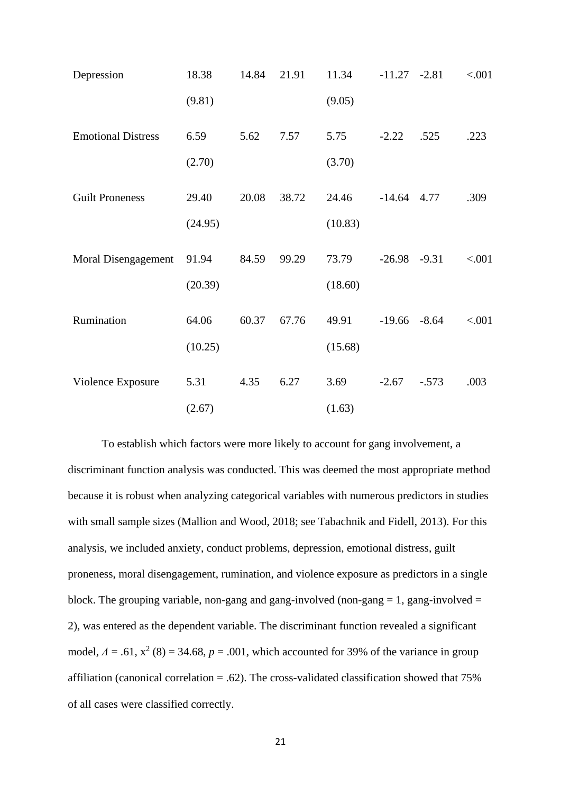| Depression                | 18.38   | 14.84 | 21.91 | 11.34   | $-11.27 -2.81$ |         | < .001 |
|---------------------------|---------|-------|-------|---------|----------------|---------|--------|
|                           | (9.81)  |       |       | (9.05)  |                |         |        |
| <b>Emotional Distress</b> | 6.59    | 5.62  | 7.57  | 5.75    | $-2.22$        | .525    | .223   |
|                           | (2.70)  |       |       | (3.70)  |                |         |        |
| <b>Guilt Proneness</b>    | 29.40   | 20.08 | 38.72 | 24.46   | $-14.64$       | 4.77    | .309   |
|                           | (24.95) |       |       | (10.83) |                |         |        |
| Moral Disengagement       | 91.94   | 84.59 | 99.29 | 73.79   | $-26.98$       | $-9.31$ | < .001 |
|                           | (20.39) |       |       | (18.60) |                |         |        |
| Rumination                | 64.06   | 60.37 | 67.76 | 49.91   | $-19.66$       | $-8.64$ | < .001 |
|                           | (10.25) |       |       | (15.68) |                |         |        |
| Violence Exposure         | 5.31    | 4.35  | 6.27  | 3.69    | $-2.67$        | $-.573$ | .003   |
|                           | (2.67)  |       |       | (1.63)  |                |         |        |

To establish which factors were more likely to account for gang involvement, a discriminant function analysis was conducted. This was deemed the most appropriate method because it is robust when analyzing categorical variables with numerous predictors in studies with small sample sizes (Mallion and Wood, 2018; see Tabachnik and Fidell, 2013). For this analysis, we included anxiety, conduct problems, depression, emotional distress, guilt proneness, moral disengagement, rumination, and violence exposure as predictors in a single block. The grouping variable, non-gang and gang-involved (non-gang  $= 1$ , gang-involved  $=$ 2), was entered as the dependent variable. The discriminant function revealed a significant model,  $\Lambda = .61$ ,  $x^2$  (8) = 34.68,  $p = .001$ , which accounted for 39% of the variance in group affiliation (canonical correlation  $= .62$ ). The cross-validated classification showed that 75% of all cases were classified correctly.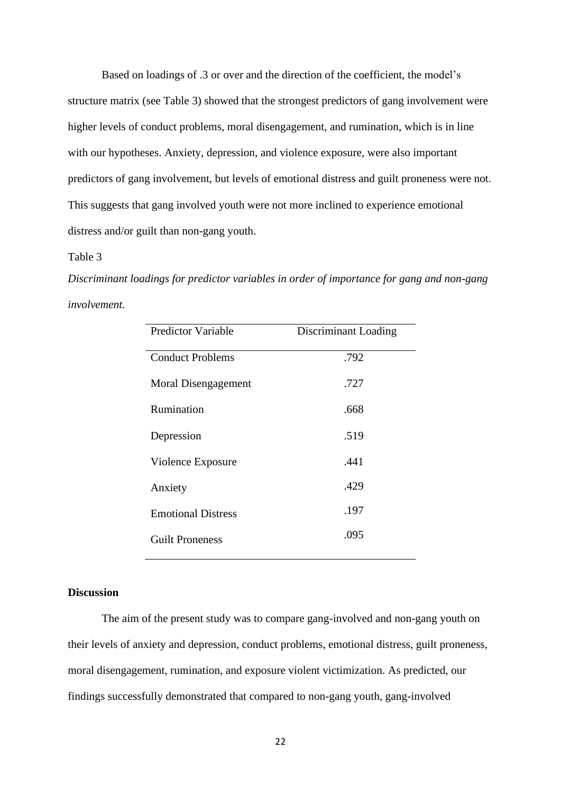Based on loadings of .3 or over and the direction of the coefficient, the model's structure matrix (see Table 3) showed that the strongest predictors of gang involvement were higher levels of conduct problems, moral disengagement, and rumination, which is in line with our hypotheses. Anxiety, depression, and violence exposure, were also important predictors of gang involvement, but levels of emotional distress and guilt proneness were not. This suggests that gang involved youth were not more inclined to experience emotional distress and/or guilt than non-gang youth.

#### Table 3

*Discriminant loadings for predictor variables in order of importance for gang and non-gang involvement.* 

| <b>Predictor Variable</b> | Discriminant Loading |
|---------------------------|----------------------|
| <b>Conduct Problems</b>   | .792                 |
| Moral Disengagement       | .727                 |
| Rumination                | .668                 |
| Depression                | .519                 |
| Violence Exposure         | .441                 |
| Anxiety                   | .429                 |
| <b>Emotional Distress</b> | .197                 |
| <b>Guilt Proneness</b>    | .095                 |

#### **Discussion**

The aim of the present study was to compare gang-involved and non-gang youth on their levels of anxiety and depression, conduct problems, emotional distress, guilt proneness, moral disengagement, rumination, and exposure violent victimization. As predicted, our findings successfully demonstrated that compared to non-gang youth, gang-involved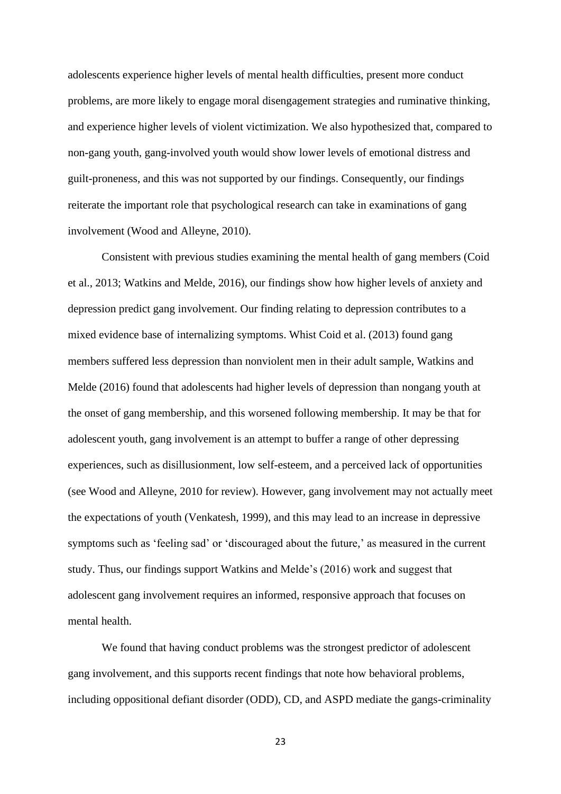adolescents experience higher levels of mental health difficulties, present more conduct problems, are more likely to engage moral disengagement strategies and ruminative thinking, and experience higher levels of violent victimization. We also hypothesized that, compared to non-gang youth, gang-involved youth would show lower levels of emotional distress and guilt-proneness, and this was not supported by our findings. Consequently, our findings reiterate the important role that psychological research can take in examinations of gang involvement (Wood and Alleyne, 2010).

Consistent with previous studies examining the mental health of gang members (Coid et al., 2013; Watkins and Melde, 2016), our findings show how higher levels of anxiety and depression predict gang involvement. Our finding relating to depression contributes to a mixed evidence base of internalizing symptoms. Whist Coid et al. (2013) found gang members suffered less depression than nonviolent men in their adult sample, Watkins and Melde (2016) found that adolescents had higher levels of depression than nongang youth at the onset of gang membership, and this worsened following membership. It may be that for adolescent youth, gang involvement is an attempt to buffer a range of other depressing experiences, such as disillusionment, low self-esteem, and a perceived lack of opportunities (see Wood and Alleyne, 2010 for review). However, gang involvement may not actually meet the expectations of youth (Venkatesh, 1999), and this may lead to an increase in depressive symptoms such as 'feeling sad' or 'discouraged about the future,' as measured in the current study. Thus, our findings support Watkins and Melde's (2016) work and suggest that adolescent gang involvement requires an informed, responsive approach that focuses on mental health.

We found that having conduct problems was the strongest predictor of adolescent gang involvement, and this supports recent findings that note how behavioral problems, including oppositional defiant disorder (ODD), CD, and ASPD mediate the gangs-criminality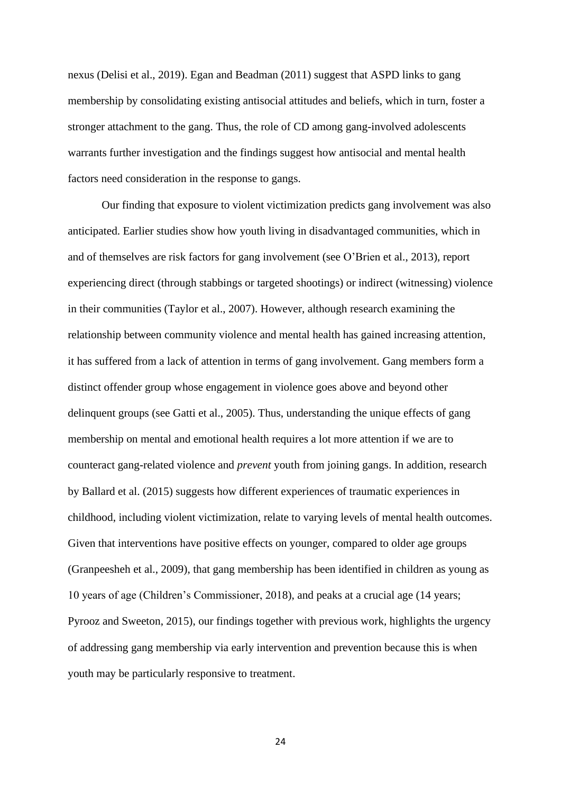nexus (Delisi et al., 2019). Egan and Beadman (2011) suggest that ASPD links to gang membership by consolidating existing antisocial attitudes and beliefs, which in turn, foster a stronger attachment to the gang. Thus, the role of CD among gang-involved adolescents warrants further investigation and the findings suggest how antisocial and mental health factors need consideration in the response to gangs.

Our finding that exposure to violent victimization predicts gang involvement was also anticipated. Earlier studies show how youth living in disadvantaged communities, which in and of themselves are risk factors for gang involvement (see O'Brien et al., 2013), report experiencing direct (through stabbings or targeted shootings) or indirect (witnessing) violence in their communities (Taylor et al., 2007). However, although research examining the relationship between community violence and mental health has gained increasing attention, it has suffered from a lack of attention in terms of gang involvement. Gang members form a distinct offender group whose engagement in violence goes above and beyond other delinquent groups (see Gatti et al., 2005). Thus, understanding the unique effects of gang membership on mental and emotional health requires a lot more attention if we are to counteract gang-related violence and *prevent* youth from joining gangs. In addition, research by Ballard et al. (2015) suggests how different experiences of traumatic experiences in childhood, including violent victimization, relate to varying levels of mental health outcomes. Given that interventions have positive effects on younger, compared to older age groups (Granpeesheh et al., 2009), that gang membership has been identified in children as young as 10 years of age (Children's Commissioner, 2018), and peaks at a crucial age (14 years; Pyrooz and Sweeton, 2015), our findings together with previous work, highlights the urgency of addressing gang membership via early intervention and prevention because this is when youth may be particularly responsive to treatment.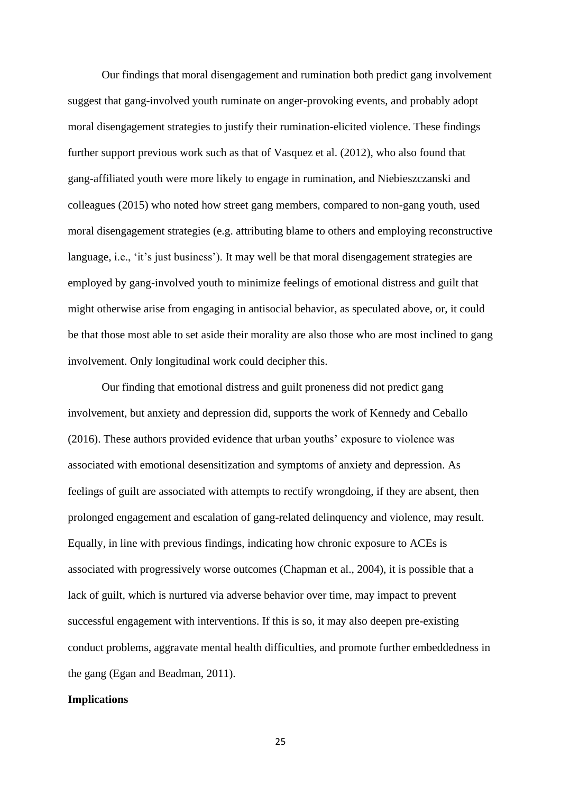Our findings that moral disengagement and rumination both predict gang involvement suggest that gang-involved youth ruminate on anger-provoking events, and probably adopt moral disengagement strategies to justify their rumination-elicited violence. These findings further support previous work such as that of Vasquez et al. (2012), who also found that gang-affiliated youth were more likely to engage in rumination, and Niebieszczanski and colleagues (2015) who noted how street gang members, compared to non-gang youth, used moral disengagement strategies (e.g. attributing blame to others and employing reconstructive language, i.e., 'it's just business'). It may well be that moral disengagement strategies are employed by gang-involved youth to minimize feelings of emotional distress and guilt that might otherwise arise from engaging in antisocial behavior, as speculated above, or, it could be that those most able to set aside their morality are also those who are most inclined to gang involvement. Only longitudinal work could decipher this.

Our finding that emotional distress and guilt proneness did not predict gang involvement, but anxiety and depression did, supports the work of Kennedy and Ceballo (2016). These authors provided evidence that urban youths' exposure to violence was associated with emotional desensitization and symptoms of anxiety and depression. As feelings of guilt are associated with attempts to rectify wrongdoing, if they are absent, then prolonged engagement and escalation of gang-related delinquency and violence, may result. Equally, in line with previous findings, indicating how chronic exposure to ACEs is associated with progressively worse outcomes (Chapman et al., 2004), it is possible that a lack of guilt, which is nurtured via adverse behavior over time, may impact to prevent successful engagement with interventions. If this is so, it may also deepen pre-existing conduct problems, aggravate mental health difficulties, and promote further embeddedness in the gang (Egan and Beadman, 2011).

#### **Implications**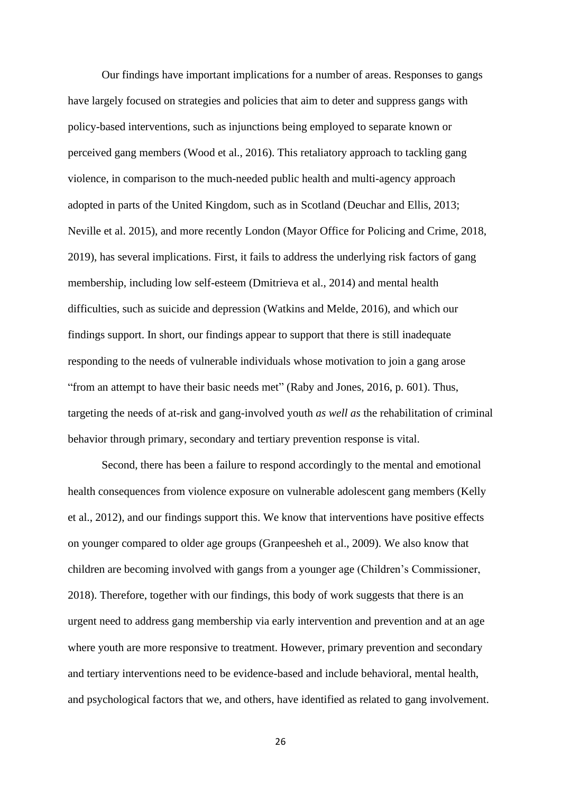Our findings have important implications for a number of areas. Responses to gangs have largely focused on strategies and policies that aim to deter and suppress gangs with policy-based interventions, such as injunctions being employed to separate known or perceived gang members (Wood et al., 2016). This retaliatory approach to tackling gang violence, in comparison to the much-needed public health and multi-agency approach adopted in parts of the United Kingdom, such as in Scotland (Deuchar and Ellis, 2013; Neville et al. 2015), and more recently London (Mayor Office for Policing and Crime, 2018, 2019), has several implications. First, it fails to address the underlying risk factors of gang membership, including low self-esteem (Dmitrieva et al., 2014) and mental health difficulties, such as suicide and depression (Watkins and Melde, 2016), and which our findings support. In short, our findings appear to support that there is still inadequate responding to the needs of vulnerable individuals whose motivation to join a gang arose "from an attempt to have their basic needs met" (Raby and Jones, 2016, p. 601). Thus, targeting the needs of at-risk and gang-involved youth *as well as* the rehabilitation of criminal behavior through primary, secondary and tertiary prevention response is vital.

Second, there has been a failure to respond accordingly to the mental and emotional health consequences from violence exposure on vulnerable adolescent gang members (Kelly et al., 2012), and our findings support this. We know that interventions have positive effects on younger compared to older age groups (Granpeesheh et al., 2009). We also know that children are becoming involved with gangs from a younger age (Children's Commissioner, 2018). Therefore, together with our findings, this body of work suggests that there is an urgent need to address gang membership via early intervention and prevention and at an age where youth are more responsive to treatment. However, primary prevention and secondary and tertiary interventions need to be evidence-based and include behavioral, mental health, and psychological factors that we, and others, have identified as related to gang involvement.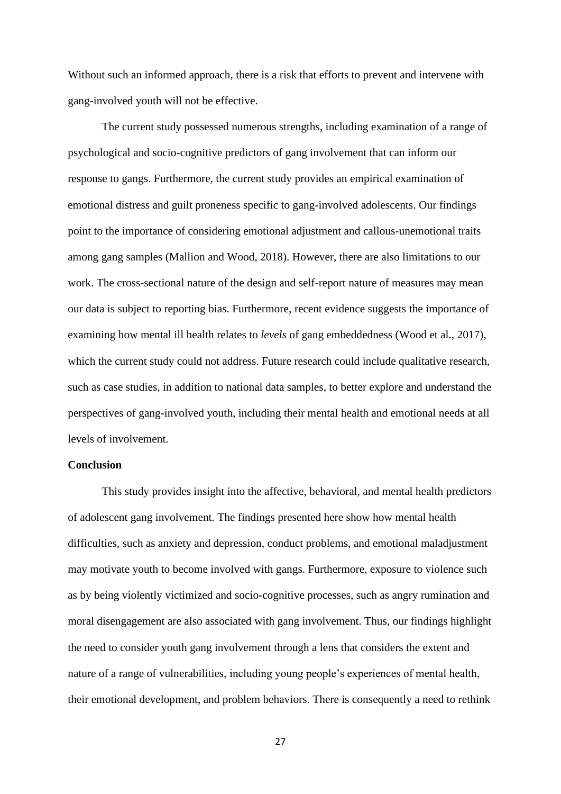Without such an informed approach, there is a risk that efforts to prevent and intervene with gang-involved youth will not be effective.

The current study possessed numerous strengths, including examination of a range of psychological and socio-cognitive predictors of gang involvement that can inform our response to gangs. Furthermore, the current study provides an empirical examination of emotional distress and guilt proneness specific to gang-involved adolescents. Our findings point to the importance of considering emotional adjustment and callous-unemotional traits among gang samples (Mallion and Wood, 2018). However, there are also limitations to our work. The cross-sectional nature of the design and self-report nature of measures may mean our data is subject to reporting bias. Furthermore, recent evidence suggests the importance of examining how mental ill health relates to *levels* of gang embeddedness (Wood et al., 2017), which the current study could not address. Future research could include qualitative research, such as case studies, in addition to national data samples, to better explore and understand the perspectives of gang-involved youth, including their mental health and emotional needs at all levels of involvement.

#### **Conclusion**

This study provides insight into the affective, behavioral, and mental health predictors of adolescent gang involvement. The findings presented here show how mental health difficulties, such as anxiety and depression, conduct problems, and emotional maladjustment may motivate youth to become involved with gangs. Furthermore, exposure to violence such as by being violently victimized and socio-cognitive processes, such as angry rumination and moral disengagement are also associated with gang involvement. Thus, our findings highlight the need to consider youth gang involvement through a lens that considers the extent and nature of a range of vulnerabilities, including young people's experiences of mental health, their emotional development, and problem behaviors. There is consequently a need to rethink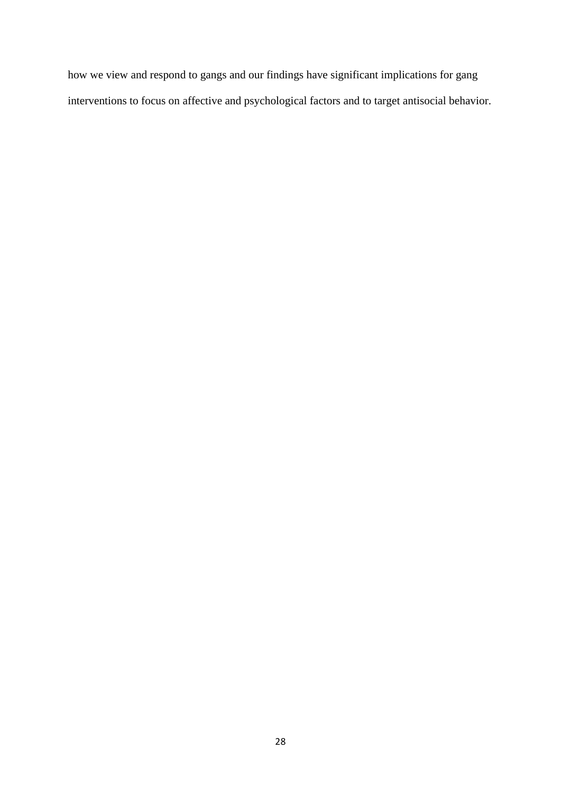how we view and respond to gangs and our findings have significant implications for gang interventions to focus on affective and psychological factors and to target antisocial behavior.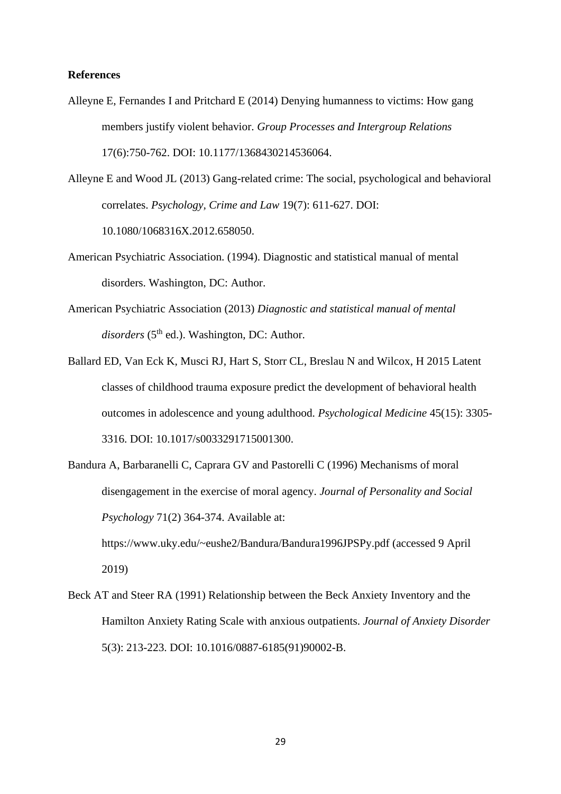#### **References**

Alleyne E, Fernandes I and Pritchard E (2014) Denying humanness to victims: How gang members justify violent behavior. *Group Processes and Intergroup Relations* 17(6):750-762. DOI: 10.1177/1368430214536064.

Alleyne E and Wood JL (2013) Gang-related crime: The social, psychological and behavioral correlates. *Psychology, Crime and Law* 19(7): 611-627. DOI: 10.1080/1068316X.2012.658050.

- American Psychiatric Association. (1994). Diagnostic and statistical manual of mental disorders. Washington, DC: Author.
- American Psychiatric Association (2013) *Diagnostic and statistical manual of mental*  disorders (5<sup>th</sup> ed.). Washington, DC: Author.
- Ballard ED, Van Eck K, Musci RJ, Hart S, Storr CL, Breslau N and Wilcox, H 2015 Latent classes of childhood trauma exposure predict the development of behavioral health outcomes in adolescence and young adulthood. *Psychological Medicine* 45(15): 3305- 3316. DOI: 10.1017/s0033291715001300.
- Bandura A, Barbaranelli C, Caprara GV and Pastorelli C (1996) Mechanisms of moral disengagement in the exercise of moral agency. *Journal of Personality and Social Psychology* 71(2) 364-374. Available at: <https://www.uky.edu/~eushe2/Bandura/Bandura1996JPSPy.pdf> (accessed 9 April 2019)
- Beck AT and Steer RA (1991) Relationship between the Beck Anxiety Inventory and the Hamilton Anxiety Rating Scale with anxious outpatients. *Journal of Anxiety Disorder*  5(3): 213-223. DOI: [10.1016/0887-6185\(91\)90002-B.](https://doi-org.chain.kent.ac.uk/10.1016/0887-6185(91)90002-B)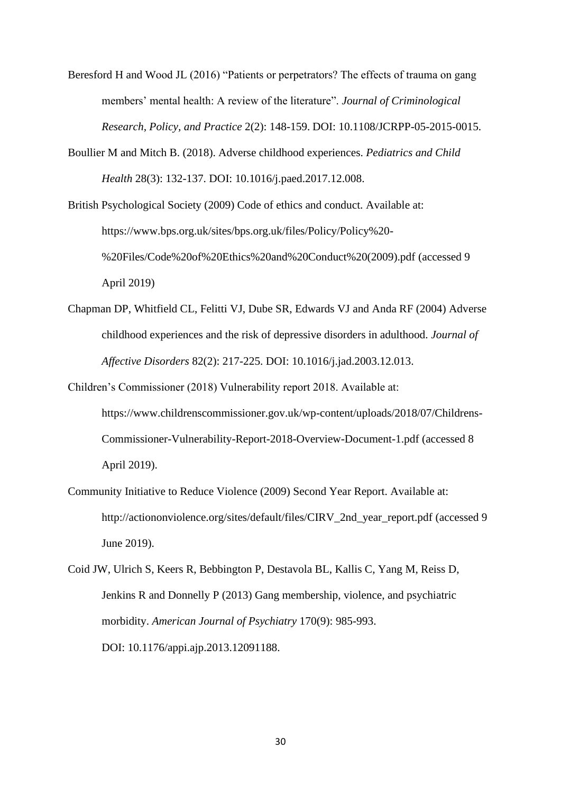Beresford H and Wood JL (2016) "Patients or perpetrators? The effects of trauma on gang members' mental health: A review of the literature". *Journal of Criminological Research, Policy, and Practice* 2(2): 148-159. DOI: [10.1108/JCRPP-05-2015-0015.](https://doi.org/10.1108/JCRPP-05-2015-0015)

Boullier M and Mitch B. (2018). Adverse childhood experiences. *Pediatrics and Child Health* 28(3): 132-137. DOI: [10.1016/j.paed.2017.12.008.](https://doi.org/10.1016/j.paed.2017.12.008)

British Psychological Society (2009) Code of ethics and conduct. Available at: [https://www.bps.org.uk/sites/bps.org.uk/files/Policy/Policy%20-](https://www.bps.org.uk/sites/bps.org.uk/files/Policy/Policy%20-%20Files/Code%20of%20Ethics%20and%20Conduct%20(2009).pdf) [%20Files/Code%20of%20Ethics%20and%20Conduct%20\(2009\).pdf](https://www.bps.org.uk/sites/bps.org.uk/files/Policy/Policy%20-%20Files/Code%20of%20Ethics%20and%20Conduct%20(2009).pdf) (accessed 9 April 2019)

- Chapman DP, Whitfield CL, Felitti VJ, Dube SR, Edwards VJ and Anda RF (2004) Adverse childhood experiences and the risk of depressive disorders in adulthood. *Journal of Affective Disorders* 82(2): 217-225. DOI: [10.1016/j.jad.2003.12.013.](https://doi.org/10.1016/j.jad.2003.12.013)
- Children's Commissioner (2018) Vulnerability report 2018. Available at: [https://www.childrenscommissioner.gov.uk/wp-content/uploads/2018/07/Childrens-](https://www.childrenscommissioner.gov.uk/wp-content/uploads/2018/07/Childrens-Commissioner-Vulnerability-Report-2018-Overview-Document-1.pdf)[Commissioner-Vulnerability-Report-2018-Overview-Document-1.pdf](https://www.childrenscommissioner.gov.uk/wp-content/uploads/2018/07/Childrens-Commissioner-Vulnerability-Report-2018-Overview-Document-1.pdf) (accessed 8 April 2019).
- Community Initiative to Reduce Violence (2009) Second Year Report. Available at: [http://actiononviolence.org/sites/default/files/CIRV\\_2nd\\_year\\_report.pdf](http://actiononviolence.org/sites/default/files/CIRV_2nd_year_report.pdf) (accessed 9 June 2019).
- Coid JW, Ulrich S, Keers R, Bebbington P, Destavola BL, Kallis C, Yang M, Reiss D, Jenkins R and Donnelly P (2013) Gang membership, violence, and psychiatric morbidity. *American Journal of Psychiatry* 170(9): 985-993. DOI: 10.1176/appi.ajp.2013.12091188.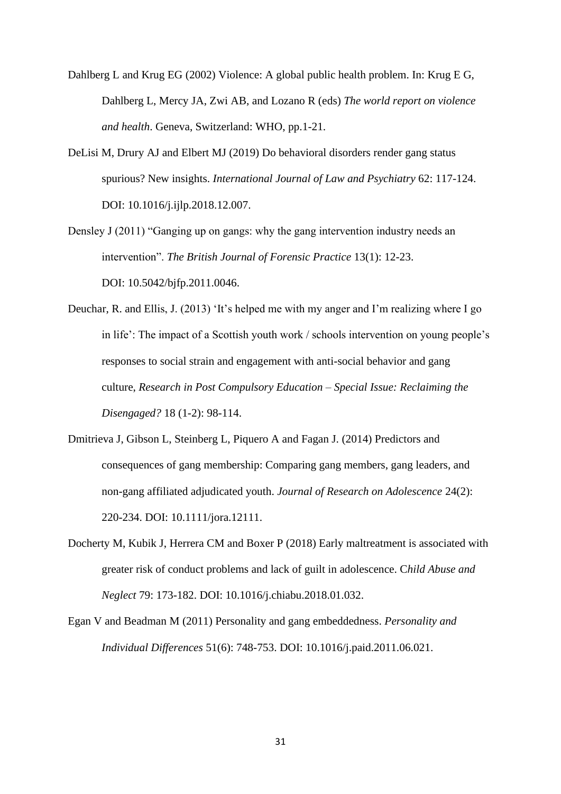- Dahlberg L and Krug EG (2002) Violence: A global public health problem. In: Krug E G, Dahlberg L, Mercy JA, Zwi AB, and Lozano R (eds) *The world report on violence and health*. Geneva, Switzerland: WHO, pp.1-21.
- DeLisi M, Drury AJ and Elbert MJ (2019) Do behavioral disorders render gang status spurious? New insights. *International Journal of Law and Psychiatry* 62: 117-124. DOI: 10.1016/j.ijlp.2018.12.007.
- Densley J (2011) "Ganging up on gangs: why the gang intervention industry needs an intervention". *The British Journal of Forensic Practice* 13(1): 12-23. DOI: [10.5042/bjfp.2011.0046.](https://doi.org/10.5042/bjfp.2011.0046)
- Deuchar, R. and Ellis, J. (2013) 'It's helped me with my anger and I'm realizing where I go in life': The impact of a Scottish youth work / schools intervention on young people's responses to social strain and engagement with anti-social behavior and gang culture, *Research in Post Compulsory Education – Special Issue: Reclaiming the Disengaged?* 18 (1-2): 98-114.
- Dmitrieva J, Gibson L, Steinberg L, Piquero A and Fagan J. (2014) Predictors and consequences of gang membership: Comparing gang members, gang leaders, and non-gang affiliated adjudicated youth. *Journal of Research on Adolescence* 24(2): 220-234. DOI: 10.1111/jora.12111.
- Docherty M, Kubik J, Herrera CM and Boxer P (2018) Early maltreatment is associated with greater risk of conduct problems and lack of guilt in adolescence. C*hild Abuse and Neglect* 79: 173-182. DOI: 10.1016/j.chiabu.2018.01.032.
- Egan V and Beadman M (2011) Personality and gang embeddedness. *Personality and Individual Differences* 51(6): 748-753. DOI: 10.1016/j.paid.2011.06.021.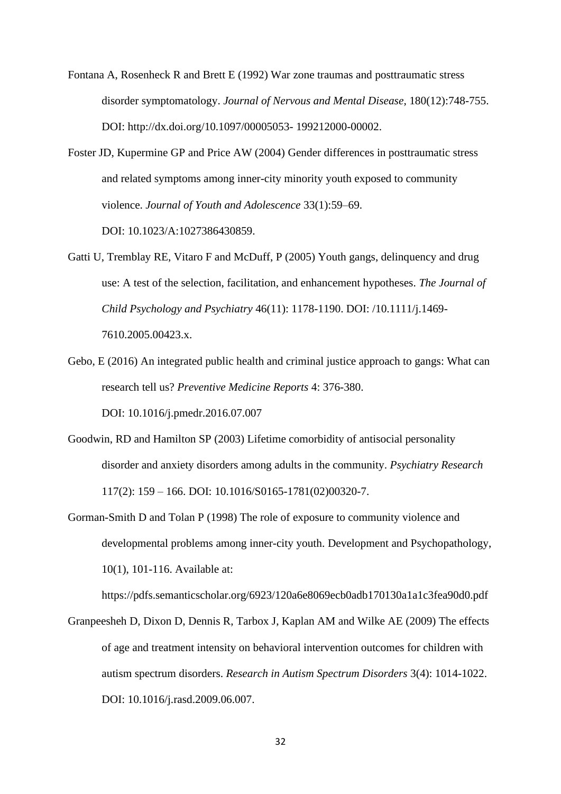- Fontana A, Rosenheck R and Brett E (1992) War zone traumas and posttraumatic stress disorder symptomatology. *Journal of Nervous and Mental Disease*, 180(12):748-755. DOI: http://dx.doi.org/10.1097/00005053- 199212000-00002.
- Foster JD, Kupermine GP and Price AW (2004) Gender differences in posttraumatic stress and related symptoms among inner-city minority youth exposed to community violence. *Journal of Youth and Adolescence* 33(1):59–69.

DOI: 10.1023/A:1027386430859.

- Gatti U, Tremblay RE, Vitaro F and McDuff, P (2005) Youth gangs, delinquency and drug use: A test of the selection, facilitation, and enhancement hypotheses. *The Journal of Child Psychology and Psychiatry* 46(11): 1178-1190. DOI: [/10.1111/j.1469-](https://doi.org/10.1111/j.1469-7610.2005.00423.x) [7610.2005.00423.x.](https://doi.org/10.1111/j.1469-7610.2005.00423.x)
- Gebo, E (2016) An integrated public health and criminal justice approach to gangs: What can research tell us? *Preventive Medicine Reports* 4: 376-380. DOI: [10.1016/j.pmedr.2016.07.007](https://doi.org/10.1016/j.pmedr.2016.07.007)
- Goodwin, RD and Hamilton SP (2003) Lifetime comorbidity of antisocial personality disorder and anxiety disorders among adults in the community. *Psychiatry Research* 117(2): 159 – 166. DOI: [10.1016/S0165-1781\(02\)00320-7.](https://doi.org/10.1016/S0165-1781%2802%2900320-7)
- Gorman-Smith D and Tolan P (1998) The role of exposure to community violence and developmental problems among inner-city youth. Development and Psychopathology, 10(1), 101-116. Available at:

https://pdfs.semanticscholar.org/6923/120a6e8069ecb0adb170130a1a1c3fea90d0.pdf

Granpeesheh D, Dixon D, Dennis R, Tarbox J, Kaplan AM and Wilke AE (2009) The effects of age and treatment intensity on behavioral intervention outcomes for children with autism spectrum disorders. *Research in Autism Spectrum Disorders* 3(4): 1014-1022. DOI: 10.1016/j.rasd.2009.06.007.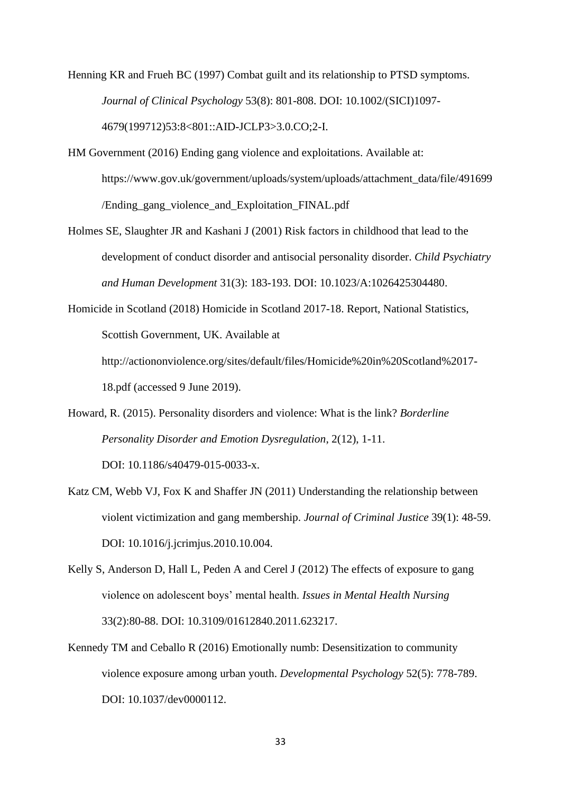Henning KR and Frueh BC (1997) Combat guilt and its relationship to PTSD symptoms. *Journal of Clinical Psychology* 53(8): 801-808. DOI: [10.1002/\(SICI\)1097-](https://doi.org/10.1002/(SICI)1097-4679(199712)53:8%3C801::AID-JCLP3%3E3.0.CO;2-I) [4679\(199712\)53:8<801::AID-JCLP3>3.0.CO;2-I.](https://doi.org/10.1002/(SICI)1097-4679(199712)53:8%3C801::AID-JCLP3%3E3.0.CO;2-I)

- HM Government (2016) Ending gang violence and exploitations. Available at: [https://www.gov.uk/government/uploads/system/uploads/attachment\\_data/file/491699](https://www.gov.uk/government/uploads/system/uploads/attachment_data/file/491699%20/Ending_gang_violence_and_Exploitation_FINAL.pdf)  [/Ending\\_gang\\_violence\\_and\\_Exploitation\\_FINAL.pdf](https://www.gov.uk/government/uploads/system/uploads/attachment_data/file/491699%20/Ending_gang_violence_and_Exploitation_FINAL.pdf)
- Holmes SE, Slaughter JR and Kashani J (2001) Risk factors in childhood that lead to the development of conduct disorder and antisocial personality disorder. *Child Psychiatry and Human Development* 31(3): 183-193. DOI: 10.1023/A:1026425304480.
- Homicide in Scotland (2018) Homicide in Scotland 2017-18. Report, National Statistics, Scottish Government, UK. Available at

[http://actiononviolence.org/sites/default/files/Homicide%20in%20Scotland%2017-](http://actiononviolence.org/sites/default/files/Homicide%20in%20Scotland%2017-18.pdf) [18.pdf](http://actiononviolence.org/sites/default/files/Homicide%20in%20Scotland%2017-18.pdf) (accessed 9 June 2019).

Howard, R. (2015). Personality disorders and violence: What is the link? *Borderline Personality Disorder and Emotion Dysregulation*, 2(12), 1-11.

DOI: 10.1186/s40479-015-0033-x.

- Katz CM, Webb VJ, Fox K and Shaffer JN (2011) Understanding the relationship between violent victimization and gang membership. *Journal of Criminal Justice* 39(1): 48-59. DOI: 10.1016/j.jcrimjus.2010.10.004.
- Kelly S, Anderson D, Hall L, Peden A and Cerel J (2012) The effects of exposure to gang violence on adolescent boys' mental health. *Issues in Mental Health Nursing* 33(2):80-88. DOI: 10.3109/01612840.2011.623217.
- Kennedy TM and Ceballo R (2016) Emotionally numb: Desensitization to community violence exposure among urban youth. *Developmental Psychology* 52(5): 778-789. DOI: 10.1037/dev0000112.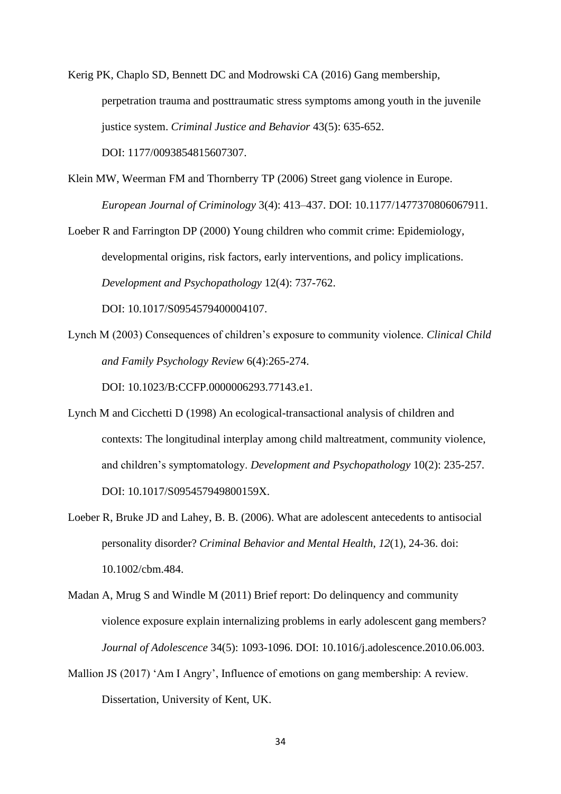Kerig PK, Chaplo SD, Bennett DC and Modrowski CA (2016) Gang membership, perpetration trauma and posttraumatic stress symptoms among youth in the juvenile justice system. *Criminal Justice and Behavior* 43(5): 635-652. DOI: 1177/0093854815607307.

Klein MW, Weerman FM and Thornberry TP (2006) Street gang violence in Europe. *European Journal of Criminology* 3(4): 413–437. DOI: 10.1177/1477370806067911.

Loeber R and Farrington DP (2000) Young children who commit crime: Epidemiology, developmental origins, risk factors, early interventions, and policy implications. *Development and Psychopathology* 12(4): 737-762. DOI: 10.1017/S0954579400004107.

Lynch M (2003) Consequences of children's exposure to community violence. *Clinical Child and Family Psychology Review* 6(4):265-274.

DOI: 10.1023/B:CCFP.0000006293.77143.e1.

- Lynch M and Cicchetti D (1998) An ecological-transactional analysis of children and contexts: The longitudinal interplay among child maltreatment, community violence, and children's symptomatology. *Development and Psychopathology* 10(2): 235-257. DOI: [10.1017/S095457949800159X.](https://doi.org/10.1017/S095457949800159X)
- Loeber R, Bruke JD and Lahey, B. B. (2006). What are adolescent antecedents to antisocial personality disorder? *Criminal Behavior and Mental Health*, *12*(1), 24-36. doi: [10.1002/cbm.484.](https://doi.org/10.1002/cbm.484)
- Madan A, Mrug S and Windle M (2011) Brief report: Do delinquency and community violence exposure explain internalizing problems in early adolescent gang members? *Journal of Adolescence* 34(5): 1093-1096. DOI: [10.1016/j.adolescence.2010.06.003.](http://dx.doi.org/10.1016/j.adolescence.2010.06.003)
- Mallion JS (2017) 'Am I Angry', Influence of emotions on gang membership: A review. Dissertation, University of Kent, UK.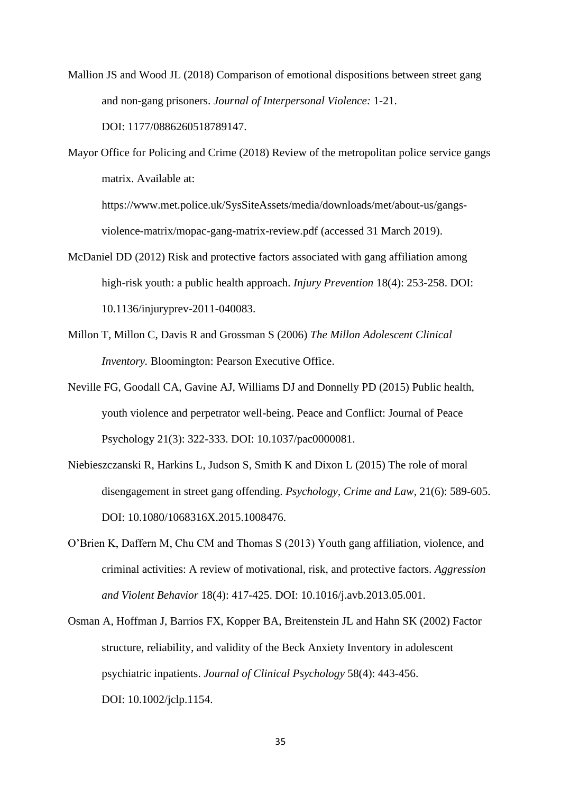- Mallion JS and Wood JL (2018) Comparison of emotional dispositions between street gang and non-gang prisoners. *Journal of Interpersonal Violence:* 1-21. DOI: 1177/0886260518789147.
- Mayor Office for Policing and Crime (2018) Review of the metropolitan police service gangs matrix. Available at:

[https://www.met.police.uk/SysSiteAssets/media/downloads/met/about-us/gangs](https://www.met.police.uk/SysSiteAssets/media/downloads/met/about-us/gangs-violence-matrix/mopac-gang-matrix-review.pdf)[violence-matrix/mopac-gang-matrix-review.pdf](https://www.met.police.uk/SysSiteAssets/media/downloads/met/about-us/gangs-violence-matrix/mopac-gang-matrix-review.pdf) (accessed 31 March 2019).

- McDaniel DD (2012) Risk and protective factors associated with gang affiliation among high-risk youth: a public health approach. *Injury Prevention* 18(4): 253-258. DOI: [10.1136/injuryprev-2011-040083.](https://dx.doi.org/10.1136%2Finjuryprev-2011-040083)
- Millon T, Millon C, Davis R and Grossman S (2006) *The Millon Adolescent Clinical Inventory.* Bloomington: Pearson Executive Office.
- Neville FG, Goodall CA, Gavine AJ, Williams DJ and Donnelly PD (2015) Public health, youth violence and perpetrator well-being. Peace and Conflict: Journal of Peace Psychology 21(3): 322-333. DOI: 10.1037/pac0000081.
- Niebieszczanski R, Harkins L, Judson S, Smith K and Dixon L (2015) The role of moral disengagement in street gang offending. *Psychology, Crime and Law*, 21(6): 589-605. DOI: 10.1080/1068316X.2015.1008476.
- O'Brien K, Daffern M, Chu CM and Thomas S (2013) Youth gang affiliation, violence, and criminal activities: A review of motivational, risk, and protective factors. *Aggression and Violent Behavior* 18(4): 417-425. DOI: 10.1016/j.avb.2013.05.001.
- Osman A, Hoffman J, Barrios FX, Kopper BA, Breitenstein JL and Hahn SK (2002) Factor structure, reliability, and validity of the Beck Anxiety Inventory in adolescent psychiatric inpatients. *Journal of Clinical Psychology* 58(4): 443-456. DOI: 10.1002/jclp.1154.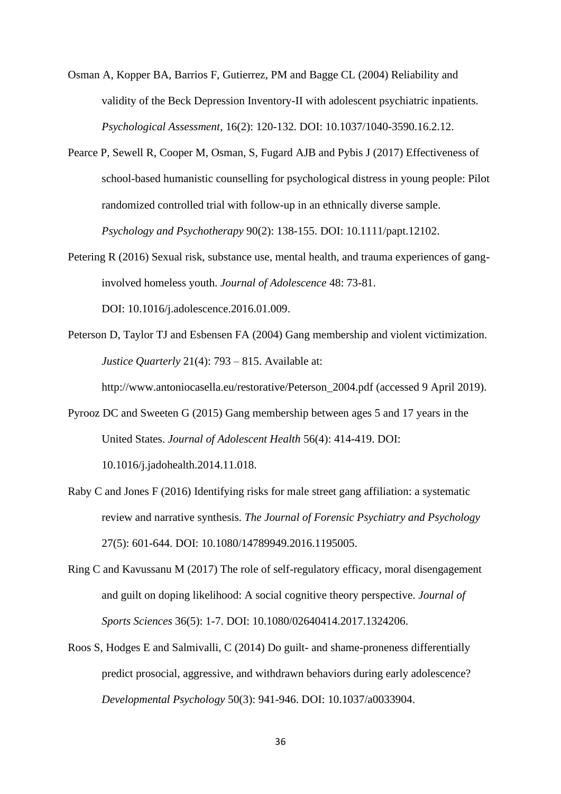Osman A, Kopper BA, Barrios F, Gutierrez, PM and Bagge CL (2004) Reliability and validity of the Beck Depression Inventory-II with adolescent psychiatric inpatients. *Psychological Assessment*, 16(2): 120-132. DOI: 10.1037/1040-3590.16.2.12.

- Pearce P, Sewell R, Cooper M, Osman, S, Fugard AJB and Pybis J (2017) Effectiveness of school-based humanistic counselling for psychological distress in young people: Pilot randomized controlled trial with follow-up in an ethnically diverse sample. *Psychology and Psychotherapy* 90(2): 138-155. DOI: [10.1111/papt.12102.](https://doi.org/10.1111/papt.12102)
- Petering R (2016) Sexual risk, substance use, mental health, and trauma experiences of ganginvolved homeless youth. *Journal of Adolescence* 48: 73-81. DOI: 10.1016/j.adolescence.2016.01.009.
- Peterson D, Taylor TJ and Esbensen FA (2004) Gang membership and violent victimization. *Justice Quarterly* 21(4): 793 – 815. Available at:

[http://www.antoniocasella.eu/restorative/Peterson\\_2004.pdf](http://www.antoniocasella.eu/restorative/Peterson_2004.pdf) (accessed 9 April 2019).

Pyrooz DC and Sweeten G (2015) Gang membership between ages 5 and 17 years in the United States. *Journal of Adolescent Health* 56(4): 414-419. DOI:

10.1016/j.jadohealth.2014.11.018.

- Raby C and Jones F (2016) Identifying risks for male street gang affiliation: a systematic review and narrative synthesis*. The Journal of Forensic Psychiatry and Psychology* 27(5): 601-644. DOI: [10.1080/14789949.2016.1195005.](https://doi.org/10.1080/14789949.2016.1195005)
- Ring C and Kavussanu M (2017) The role of self-regulatory efficacy, moral disengagement and guilt on doping likelihood: A social cognitive theory perspective. *Journal of Sports Sciences* 36(5): 1-7. DOI: [10.1080/02640414.2017.1324206.](http://dx.doi.org/10.1080/02640414.2017.1324206)
- Roos S, Hodges E and Salmivalli, C (2014) Do guilt- and shame-proneness differentially predict prosocial, aggressive, and withdrawn behaviors during early adolescence? *Developmental Psychology* 50(3): 941-946. DOI: 10.1037/a0033904.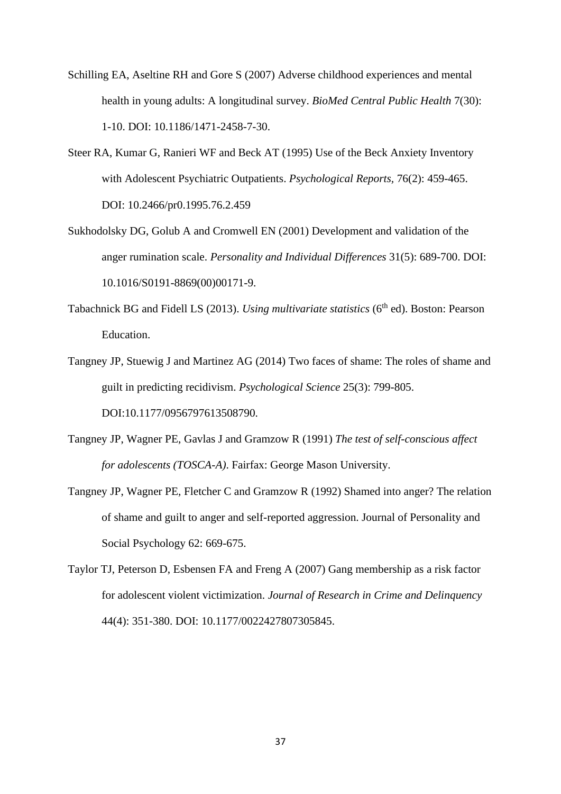- Schilling EA, Aseltine RH and Gore S (2007) Adverse childhood experiences and mental health in young adults: A longitudinal survey. *BioMed Central Public Health* 7(30): 1-10. DOI: 10.1186/1471-2458-7-30.
- Steer RA, Kumar G, Ranieri WF and Beck AT (1995) Use of the Beck Anxiety Inventory with Adolescent Psychiatric Outpatients. *Psychological Reports,* 76(2): 459-465. DOI: [10.2466/pr0.1995.76.2.459](https://doi.org/10.2466%2Fpr0.1995.76.2.459)
- Sukhodolsky DG, Golub A and Cromwell EN (2001) Development and validation of the anger rumination scale. *Personality and Individual Differences* 31(5): 689-700. DOI: [10.1016/S0191-8869\(00\)00171-9.](https://doi.org/10.1016/S0191-8869(00)00171-9)
- Tabachnick BG and Fidell LS (2013). *Using multivariate statistics* (6<sup>th</sup> ed). Boston: Pearson Education.
- Tangney JP, Stuewig J and Martinez AG (2014) Two faces of shame: The roles of shame and guilt in predicting recidivism. *Psychological Science* 25(3): 799-805. DOI:10.1177/0956797613508790.
- Tangney JP, Wagner PE, Gavlas J and Gramzow R (1991) *The test of self-conscious affect for adolescents (TOSCA-A)*. Fairfax: George Mason University.
- Tangney JP, Wagner PE, Fletcher C and Gramzow R (1992) Shamed into anger? The relation of shame and guilt to anger and self-reported aggression. Journal of Personality and Social Psychology 62: 669-675.
- Taylor TJ, Peterson D, Esbensen FA and Freng A (2007) Gang membership as a risk factor for adolescent violent victimization. *Journal of Research in Crime and Delinquency* 44(4): 351-380. DOI: 10.1177/0022427807305845.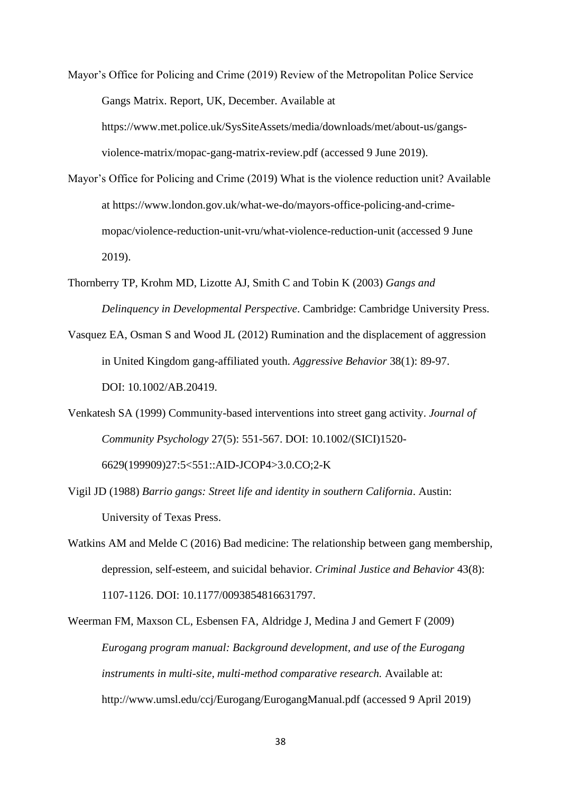Mayor's Office for Policing and Crime (2019) Review of the Metropolitan Police Service Gangs Matrix. Report, UK, December. Available at [https://www.met.police.uk/SysSiteAssets/media/downloads/met/about-us/gangs](https://www.met.police.uk/SysSiteAssets/media/downloads/met/about-us/gangs-violence-matrix/mopac-gang-matrix-review.pdf)[violence-matrix/mopac-gang-matrix-review.pdf](https://www.met.police.uk/SysSiteAssets/media/downloads/met/about-us/gangs-violence-matrix/mopac-gang-matrix-review.pdf) (accessed 9 June 2019).

- Mayor's Office for Policing and Crime (2019) What is the violence reduction unit? Available at [https://www.london.gov.uk/what-we-do/mayors-office-policing-and-crime](https://www.london.gov.uk/what-we-do/mayors-office-policing-and-crime-mopac/violence-reduction-unit-vru/what-violence-reduction-unit)[mopac/violence-reduction-unit-vru/what-violence-reduction-unit](https://www.london.gov.uk/what-we-do/mayors-office-policing-and-crime-mopac/violence-reduction-unit-vru/what-violence-reduction-unit) (accessed 9 June 2019).
- Thornberry TP, Krohm MD, Lizotte AJ, Smith C and Tobin K (2003) *Gangs and Delinquency in Developmental Perspective*. Cambridge: Cambridge University Press.
- Vasquez EA, Osman S and Wood JL (2012) Rumination and the displacement of aggression in United Kingdom gang-affiliated youth. *Aggressive Behavior* 38(1): 89-97. DOI: 10.1002/AB.20419.
- Venkatesh SA (1999) Community-based interventions into street gang activity. *Journal of Community Psychology* 27(5): 551-567. DOI: [10.1002/\(SICI\)1520-](https://doi.org/10.1002/(SICI)1520-6629(199909)27:5%3C551::AID-JCOP4%3E3.0.CO;2-K) [6629\(199909\)27:5<551::AID-JCOP4>3.0.CO;2-K](https://doi.org/10.1002/(SICI)1520-6629(199909)27:5%3C551::AID-JCOP4%3E3.0.CO;2-K)
- Vigil JD (1988) *Barrio gangs: Street life and identity in southern California*. Austin: University of Texas Press.
- Watkins AM and Melde C (2016) Bad medicine: The relationship between gang membership, depression, self-esteem, and suicidal behavior. *Criminal Justice and Behavior* 43(8): 1107-1126. DOI: 10.1177/0093854816631797.

Weerman FM, Maxson CL, Esbensen FA, Aldridge J, Medina J and Gemert F (2009) *Eurogang program manual: Background development, and use of the Eurogang instruments in multi-site, multi-method comparative research.* Available at: <http://www.umsl.edu/ccj/Eurogang/EurogangManual.pdf> (accessed 9 April 2019)